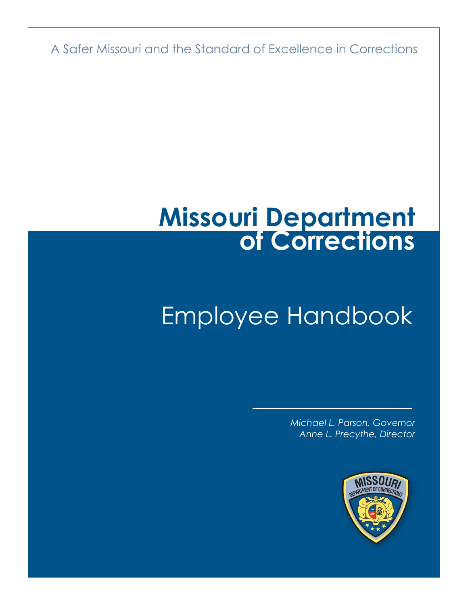A Safer Missouri and the Standard of Excellence in Corrections

## **Missouri Department of Corrections**

### Employee Handbook

*Michael L. Parson, Governor Anne L. Precythe, Director*

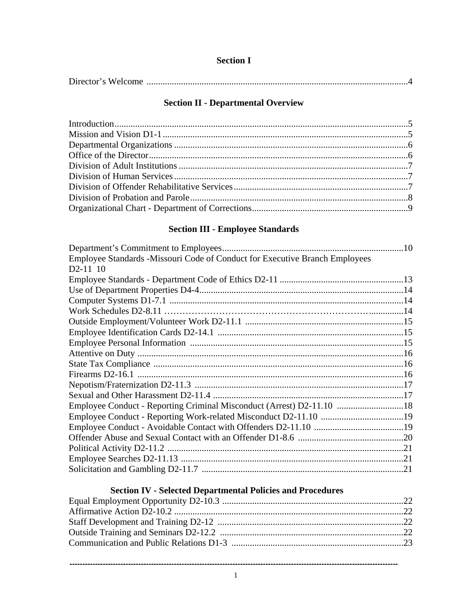#### **Section I**

#### **Section II - Departmental Overview**

#### **Section III - Employee Standards**

| Employee Standards -Missouri Code of Conduct for Executive Branch Employees |  |
|-----------------------------------------------------------------------------|--|
| D2-11 10                                                                    |  |
|                                                                             |  |
|                                                                             |  |
|                                                                             |  |
|                                                                             |  |
|                                                                             |  |
|                                                                             |  |
|                                                                             |  |
|                                                                             |  |
|                                                                             |  |
|                                                                             |  |
|                                                                             |  |
|                                                                             |  |
| Employee Conduct - Reporting Criminal Misconduct (Arrest) D2-11.10 18       |  |
|                                                                             |  |
|                                                                             |  |
|                                                                             |  |
|                                                                             |  |
|                                                                             |  |
|                                                                             |  |

#### **Section IV - Selected Departmental Policies and Procedures**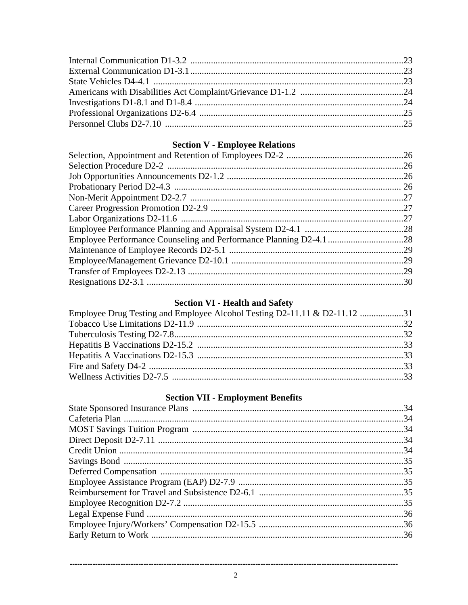#### **Section V - Employee Relations**

| .29 |
|-----|
|     |
|     |

#### **Section VI - Health and Safety**

| Employee Drug Testing and Employee Alcohol Testing D2-11.11 & D2-11.12 31 |  |
|---------------------------------------------------------------------------|--|
|                                                                           |  |
|                                                                           |  |
|                                                                           |  |
|                                                                           |  |
|                                                                           |  |
|                                                                           |  |

#### **Section VII - Employment Benefits**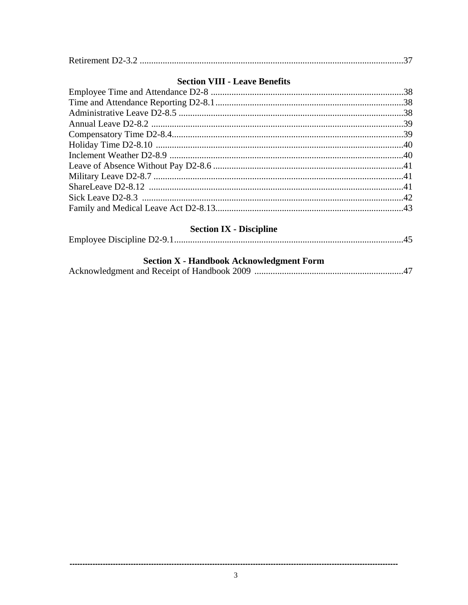|--|--|--|

#### **Section VIII - Leave Benefits**

#### **Section IX - Discipline**

|--|--|--|--|

#### **Section X - Handbook Acknowledgment Form**

|--|--|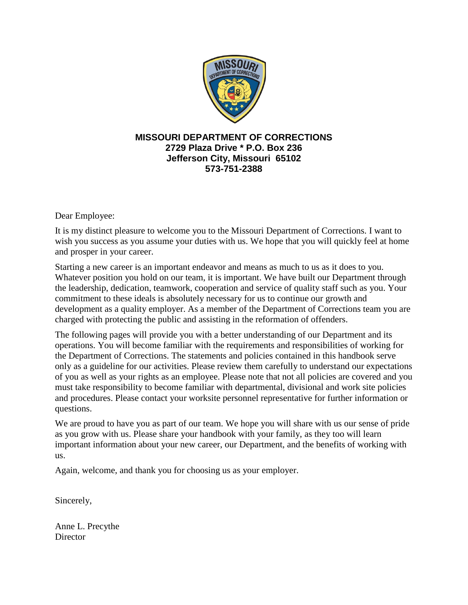

#### **MISSOURI DEPARTMENT OF CORRECTIONS 2729 Plaza Drive \* P.O. Box 236 Jefferson City, Missouri 65102 573-751-2388**

Dear Employee:

It is my distinct pleasure to welcome you to the Missouri Department of Corrections. I want to wish you success as you assume your duties with us. We hope that you will quickly feel at home and prosper in your career.

Starting a new career is an important endeavor and means as much to us as it does to you. Whatever position you hold on our team, it is important. We have built our Department through the leadership, dedication, teamwork, cooperation and service of quality staff such as you. Your commitment to these ideals is absolutely necessary for us to continue our growth and development as a quality employer. As a member of the Department of Corrections team you are charged with protecting the public and assisting in the reformation of offenders.

The following pages will provide you with a better understanding of our Department and its operations. You will become familiar with the requirements and responsibilities of working for the Department of Corrections. The statements and policies contained in this handbook serve only as a guideline for our activities. Please review them carefully to understand our expectations of you as well as your rights as an employee. Please note that not all policies are covered and you must take responsibility to become familiar with departmental, divisional and work site policies and procedures. Please contact your worksite personnel representative for further information or questions.

We are proud to have you as part of our team. We hope you will share with us our sense of pride as you grow with us. Please share your handbook with your family, as they too will learn important information about your new career, our Department, and the benefits of working with us.

Again, welcome, and thank you for choosing us as your employer.

Sincerely,

Anne L. Precythe **Director**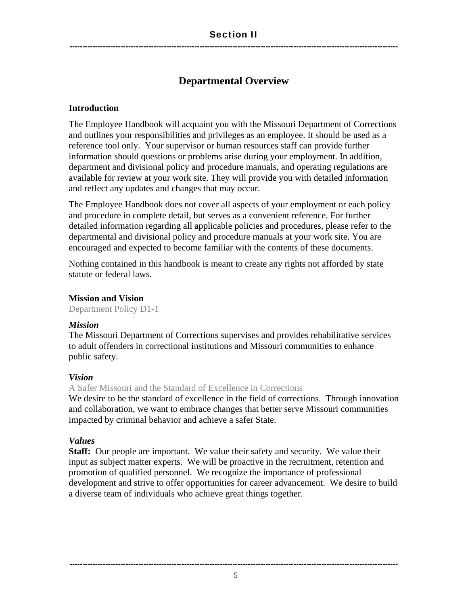#### **Departmental Overview**

#### **Introduction**

The Employee Handbook will acquaint you with the Missouri Department of Corrections and outlines your responsibilities and privileges as an employee. It should be used as a reference tool only. Your supervisor or human resources staff can provide further information should questions or problems arise during your employment. In addition, department and divisional policy and procedure manuals, and operating regulations are available for review at your work site. They will provide you with detailed information and reflect any updates and changes that may occur.

The Employee Handbook does not cover all aspects of your employment or each policy and procedure in complete detail, but serves as a convenient reference. For further detailed information regarding all applicable policies and procedures, please refer to the departmental and divisional policy and procedure manuals at your work site. You are encouraged and expected to become familiar with the contents of these documents.

Nothing contained in this handbook is meant to create any rights not afforded by state statute or federal laws.

#### **Mission and Vision**

Department Policy D1-1

#### *Mission*

The Missouri Department of Corrections supervises and provides rehabilitative services to adult offenders in correctional institutions and Missouri communities to enhance public safety.

#### *Vision*

A Safer Missouri and the Standard of Excellence in Corrections

We desire to be the standard of excellence in the field of corrections. Through innovation and collaboration, we want to embrace changes that better serve Missouri communities impacted by criminal behavior and achieve a safer State.

#### *Values*

**Staff:** Our people are important. We value their safety and security. We value their input as subject matter experts. We will be proactive in the recruitment, retention and promotion of qualified personnel. We recognize the importance of professional development and strive to offer opportunities for career advancement. We desire to build a diverse team of individuals who achieve great things together.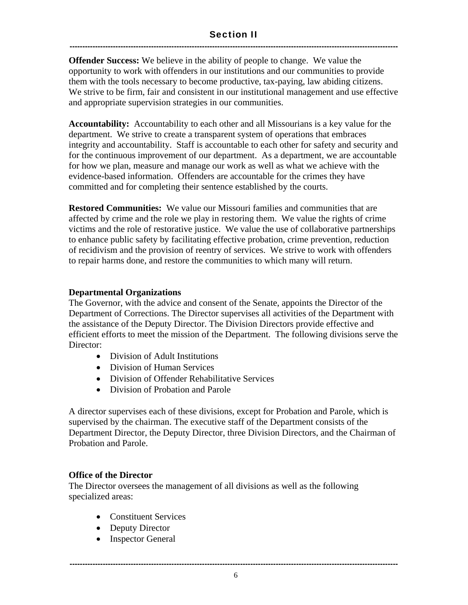#### Section II ---------------------------------------------------------------------------------------------------------------------------------

**Offender Success:** We believe in the ability of people to change. We value the opportunity to work with offenders in our institutions and our communities to provide them with the tools necessary to become productive, tax-paying, law abiding citizens. We strive to be firm, fair and consistent in our institutional management and use effective and appropriate supervision strategies in our communities.

**Accountability:** Accountability to each other and all Missourians is a key value for the department. We strive to create a transparent system of operations that embraces integrity and accountability. Staff is accountable to each other for safety and security and for the continuous improvement of our department. As a department, we are accountable for how we plan, measure and manage our work as well as what we achieve with the evidence-based information. Offenders are accountable for the crimes they have committed and for completing their sentence established by the courts.

**Restored Communities:** We value our Missouri families and communities that are affected by crime and the role we play in restoring them. We value the rights of crime victims and the role of restorative justice. We value the use of collaborative partnerships to enhance public safety by facilitating effective probation, crime prevention, reduction of recidivism and the provision of reentry of services. We strive to work with offenders to repair harms done, and restore the communities to which many will return.

#### **Departmental Organizations**

The Governor, with the advice and consent of the Senate, appoints the Director of the Department of Corrections. The Director supervises all activities of the Department with the assistance of the Deputy Director. The Division Directors provide effective and efficient efforts to meet the mission of the Department. The following divisions serve the Director:

- Division of Adult Institutions
- Division of Human Services
- Division of Offender Rehabilitative Services
- Division of Probation and Parole

A director supervises each of these divisions, except for Probation and Parole, which is supervised by the chairman. The executive staff of the Department consists of the Department Director, the Deputy Director, three Division Directors, and the Chairman of Probation and Parole.

#### **Office of the Director**

The Director oversees the management of all divisions as well as the following specialized areas:

- Constituent Services
- Deputy Director
- Inspector General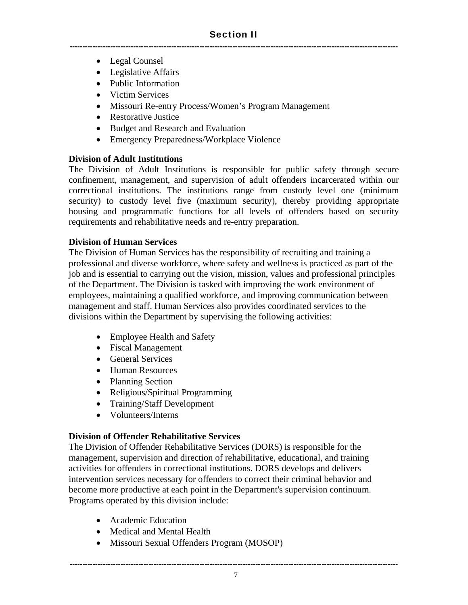- Legal Counsel
- Legislative Affairs
- Public Information
- Victim Services
- Missouri Re-entry Process/Women's Program Management
- Restorative Justice
- Budget and Research and Evaluation
- Emergency Preparedness/Workplace Violence

#### **Division of Adult Institutions**

The Division of Adult Institutions is responsible for public safety through secure confinement, management, and supervision of adult offenders incarcerated within our correctional institutions. The institutions range from custody level one (minimum security) to custody level five (maximum security), thereby providing appropriate housing and programmatic functions for all levels of offenders based on security requirements and rehabilitative needs and re-entry preparation.

#### **Division of Human Services**

The Division of Human Services has the responsibility of recruiting and training a professional and diverse workforce, where safety and wellness is practiced as part of the job and is essential to carrying out the vision, mission, values and professional principles of the Department. The Division is tasked with improving the work environment of employees, maintaining a qualified workforce, and improving communication between management and staff. Human Services also provides coordinated services to the divisions within the Department by supervising the following activities:

- Employee Health and Safety
- Fiscal Management
- General Services
- Human Resources
- Planning Section
- Religious/Spiritual Programming
- Training/Staff Development
- Volunteers/Interns

#### **Division of Offender Rehabilitative Services**

The Division of Offender Rehabilitative Services (DORS) is responsible for the management, supervision and direction of rehabilitative, educational, and training activities for offenders in correctional institutions. DORS develops and delivers intervention services necessary for offenders to correct their criminal behavior and become more productive at each point in the Department's supervision continuum. Programs operated by this division include:

- Academic Education
- Medical and Mental Health
- Missouri Sexual Offenders Program (MOSOP)

---------------------------------------------------------------------------------------------------------------------------------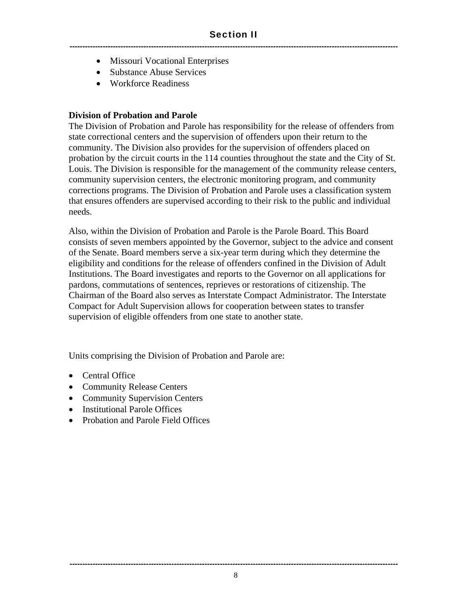- Missouri Vocational Enterprises
- Substance Abuse Services
- Workforce Readiness

#### **Division of Probation and Parole**

The Division of Probation and Parole has responsibility for the release of offenders from state correctional centers and the supervision of offenders upon their return to the community. The Division also provides for the supervision of offenders placed on probation by the circuit courts in the 114 counties throughout the state and the City of St. Louis. The Division is responsible for the management of the community release centers, community supervision centers, the electronic monitoring program, and community corrections programs. The Division of Probation and Parole uses a classification system that ensures offenders are supervised according to their risk to the public and individual needs.

Also, within the Division of Probation and Parole is the Parole Board. This Board consists of seven members appointed by the Governor, subject to the advice and consent of the Senate. Board members serve a six-year term during which they determine the eligibility and conditions for the release of offenders confined in the Division of Adult Institutions. The Board investigates and reports to the Governor on all applications for pardons, commutations of sentences, reprieves or restorations of citizenship. The Chairman of the Board also serves as Interstate Compact Administrator. The Interstate Compact for Adult Supervision allows for cooperation between states to transfer supervision of eligible offenders from one state to another state.

Units comprising the Division of Probation and Parole are:

- Central Office
- Community Release Centers
- Community Supervision Centers
- Institutional Parole Offices
- Probation and Parole Field Offices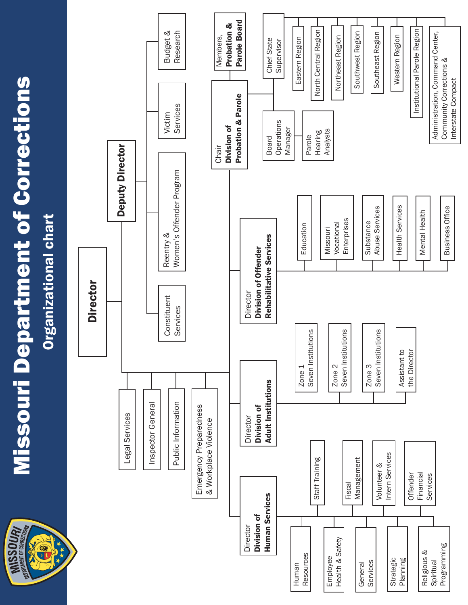**MISSOUR** 

# **Missouri Department of Corrections** Missouri Department of Corrections



Interstate Compact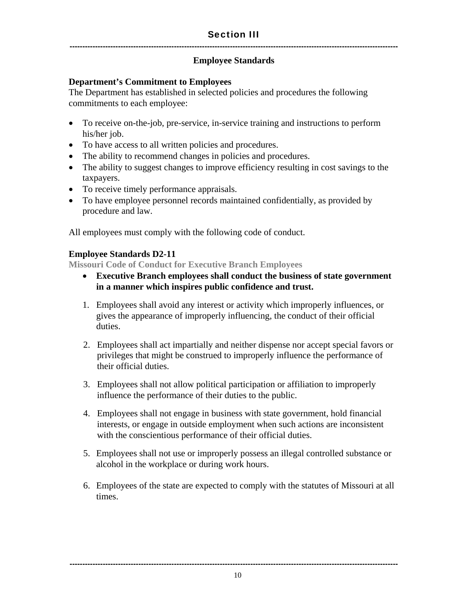#### **Employee Standards**

#### **Department's Commitment to Employees**

The Department has established in selected policies and procedures the following commitments to each employee:

- To receive on-the-job, pre-service, in-service training and instructions to perform his/her job.
- To have access to all written policies and procedures.
- The ability to recommend changes in policies and procedures.
- The ability to suggest changes to improve efficiency resulting in cost savings to the taxpayers.
- To receive timely performance appraisals.
- To have employee personnel records maintained confidentially, as provided by procedure and law.

All employees must comply with the following code of conduct.

#### **Employee Standards D2-11**

**Missouri Code of Conduct for Executive Branch Employees** 

- **Executive Branch employees shall conduct the business of state government in a manner which inspires public confidence and trust.**
- 1. Employees shall avoid any interest or activity which improperly influences, or gives the appearance of improperly influencing, the conduct of their official duties.
- 2. Employees shall act impartially and neither dispense nor accept special favors or privileges that might be construed to improperly influence the performance of their official duties.
- 3. Employees shall not allow political participation or affiliation to improperly influence the performance of their duties to the public.
- 4. Employees shall not engage in business with state government, hold financial interests, or engage in outside employment when such actions are inconsistent with the conscientious performance of their official duties.
- 5. Employees shall not use or improperly possess an illegal controlled substance or alcohol in the workplace or during work hours.
- 6. Employees of the state are expected to comply with the statutes of Missouri at all times.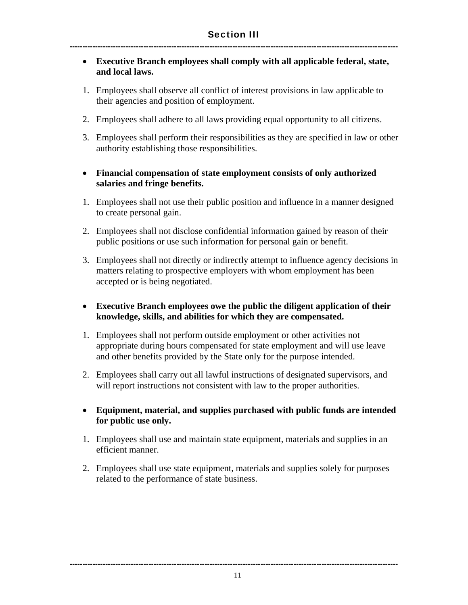- **Executive Branch employees shall comply with all applicable federal, state, and local laws.**
- 1. Employees shall observe all conflict of interest provisions in law applicable to their agencies and position of employment.
- 2. Employees shall adhere to all laws providing equal opportunity to all citizens.
- 3. Employees shall perform their responsibilities as they are specified in law or other authority establishing those responsibilities.

#### **Financial compensation of state employment consists of only authorized salaries and fringe benefits.**

- 1. Employees shall not use their public position and influence in a manner designed to create personal gain.
- 2. Employees shall not disclose confidential information gained by reason of their public positions or use such information for personal gain or benefit.
- 3. Employees shall not directly or indirectly attempt to influence agency decisions in matters relating to prospective employers with whom employment has been accepted or is being negotiated.
- **Executive Branch employees owe the public the diligent application of their knowledge, skills, and abilities for which they are compensated.**
- 1. Employees shall not perform outside employment or other activities not appropriate during hours compensated for state employment and will use leave and other benefits provided by the State only for the purpose intended.
- 2. Employees shall carry out all lawful instructions of designated supervisors, and will report instructions not consistent with law to the proper authorities.
- **Equipment, material, and supplies purchased with public funds are intended for public use only.**
- 1. Employees shall use and maintain state equipment, materials and supplies in an efficient manner.
- 2. Employees shall use state equipment, materials and supplies solely for purposes related to the performance of state business.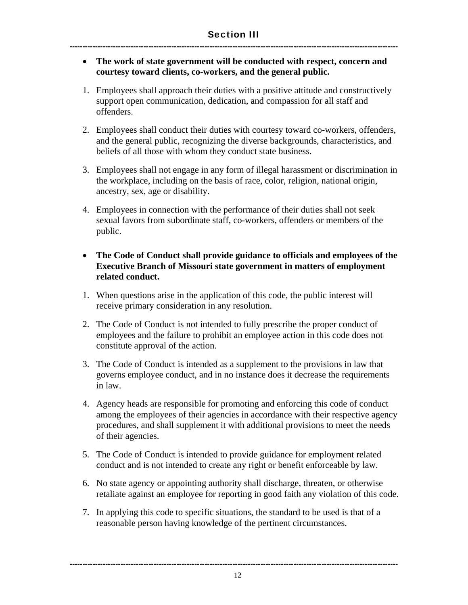- **The work of state government will be conducted with respect, concern and courtesy toward clients, co-workers, and the general public.**
- 1. Employees shall approach their duties with a positive attitude and constructively support open communication, dedication, and compassion for all staff and offenders.
- 2. Employees shall conduct their duties with courtesy toward co-workers, offenders, and the general public, recognizing the diverse backgrounds, characteristics, and beliefs of all those with whom they conduct state business.
- 3. Employees shall not engage in any form of illegal harassment or discrimination in the workplace, including on the basis of race, color, religion, national origin, ancestry, sex, age or disability.
- 4. Employees in connection with the performance of their duties shall not seek sexual favors from subordinate staff, co-workers, offenders or members of the public.
- **The Code of Conduct shall provide guidance to officials and employees of the Executive Branch of Missouri state government in matters of employment related conduct.**
- 1. When questions arise in the application of this code, the public interest will receive primary consideration in any resolution.
- 2. The Code of Conduct is not intended to fully prescribe the proper conduct of employees and the failure to prohibit an employee action in this code does not constitute approval of the action.
- 3. The Code of Conduct is intended as a supplement to the provisions in law that governs employee conduct, and in no instance does it decrease the requirements in law.
- 4. Agency heads are responsible for promoting and enforcing this code of conduct among the employees of their agencies in accordance with their respective agency procedures, and shall supplement it with additional provisions to meet the needs of their agencies.
- 5. The Code of Conduct is intended to provide guidance for employment related conduct and is not intended to create any right or benefit enforceable by law.
- 6. No state agency or appointing authority shall discharge, threaten, or otherwise retaliate against an employee for reporting in good faith any violation of this code.
- 7. In applying this code to specific situations, the standard to be used is that of a reasonable person having knowledge of the pertinent circumstances.

--------------------------------------------------------------------------------------------------------------------------------- 12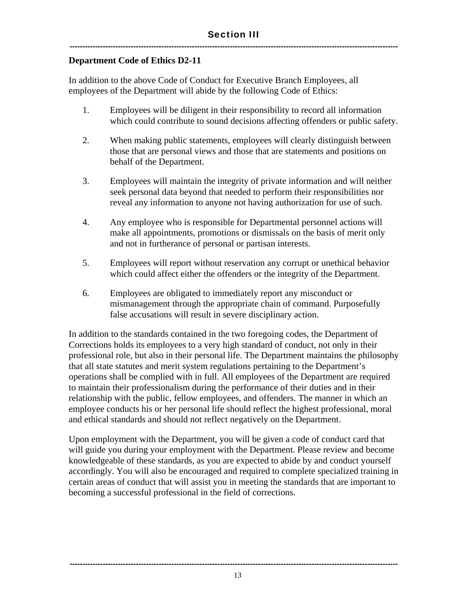#### **Department Code of Ethics D2-11**

In addition to the above Code of Conduct for Executive Branch Employees, all employees of the Department will abide by the following Code of Ethics:

- 1. Employees will be diligent in their responsibility to record all information which could contribute to sound decisions affecting offenders or public safety.
- 2. When making public statements, employees will clearly distinguish between those that are personal views and those that are statements and positions on behalf of the Department.
- 3. Employees will maintain the integrity of private information and will neither seek personal data beyond that needed to perform their responsibilities nor reveal any information to anyone not having authorization for use of such.
- 4. Any employee who is responsible for Departmental personnel actions will make all appointments, promotions or dismissals on the basis of merit only and not in furtherance of personal or partisan interests.
- 5. Employees will report without reservation any corrupt or unethical behavior which could affect either the offenders or the integrity of the Department.
- 6. Employees are obligated to immediately report any misconduct or mismanagement through the appropriate chain of command. Purposefully false accusations will result in severe disciplinary action.

In addition to the standards contained in the two foregoing codes, the Department of Corrections holds its employees to a very high standard of conduct, not only in their professional role, but also in their personal life. The Department maintains the philosophy that all state statutes and merit system regulations pertaining to the Department's operations shall be complied with in full. All employees of the Department are required to maintain their professionalism during the performance of their duties and in their relationship with the public, fellow employees, and offenders. The manner in which an employee conducts his or her personal life should reflect the highest professional, moral and ethical standards and should not reflect negatively on the Department.

Upon employment with the Department, you will be given a code of conduct card that will guide you during your employment with the Department. Please review and become knowledgeable of these standards, as you are expected to abide by and conduct yourself accordingly. You will also be encouraged and required to complete specialized training in certain areas of conduct that will assist you in meeting the standards that are important to becoming a successful professional in the field of corrections.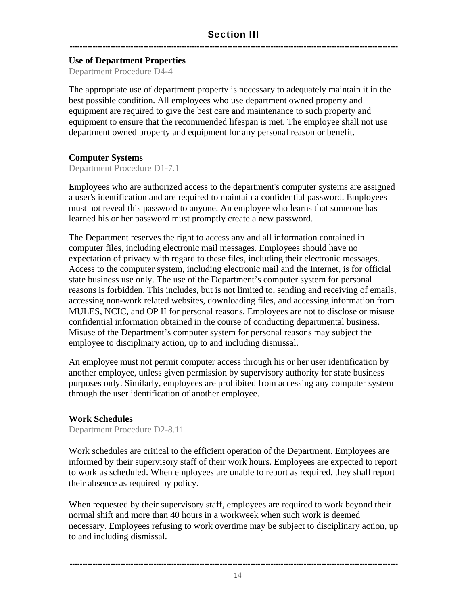#### **Use of Department Properties**

Department Procedure D4-4

The appropriate use of department property is necessary to adequately maintain it in the best possible condition. All employees who use department owned property and equipment are required to give the best care and maintenance to such property and equipment to ensure that the recommended lifespan is met. The employee shall not use department owned property and equipment for any personal reason or benefit.

#### **Computer Systems**

Department Procedure D1-7.1

Employees who are authorized access to the department's computer systems are assigned a user's identification and are required to maintain a confidential password. Employees must not reveal this password to anyone. An employee who learns that someone has learned his or her password must promptly create a new password.

The Department reserves the right to access any and all information contained in computer files, including electronic mail messages. Employees should have no expectation of privacy with regard to these files, including their electronic messages. Access to the computer system, including electronic mail and the Internet, is for official state business use only. The use of the Department's computer system for personal reasons is forbidden. This includes, but is not limited to, sending and receiving of emails, accessing non-work related websites, downloading files, and accessing information from MULES, NCIC, and OP II for personal reasons. Employees are not to disclose or misuse confidential information obtained in the course of conducting departmental business. Misuse of the Department's computer system for personal reasons may subject the employee to disciplinary action, up to and including dismissal.

An employee must not permit computer access through his or her user identification by another employee, unless given permission by supervisory authority for state business purposes only. Similarly, employees are prohibited from accessing any computer system through the user identification of another employee.

#### **Work Schedules**

Department Procedure D2-8.11

Work schedules are critical to the efficient operation of the Department. Employees are informed by their supervisory staff of their work hours. Employees are expected to report to work as scheduled. When employees are unable to report as required, they shall report their absence as required by policy.

When requested by their supervisory staff, employees are required to work beyond their normal shift and more than 40 hours in a workweek when such work is deemed necessary. Employees refusing to work overtime may be subject to disciplinary action, up to and including dismissal.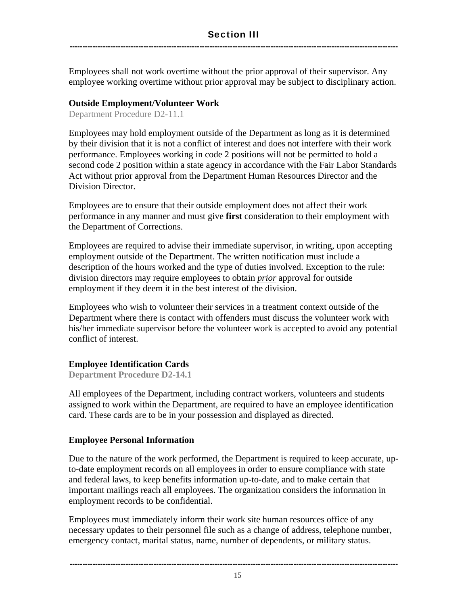Employees shall not work overtime without the prior approval of their supervisor. Any employee working overtime without prior approval may be subject to disciplinary action.

#### **Outside Employment/Volunteer Work**

Department Procedure D2-11.1

Employees may hold employment outside of the Department as long as it is determined by their division that it is not a conflict of interest and does not interfere with their work performance. Employees working in code 2 positions will not be permitted to hold a second code 2 position within a state agency in accordance with the Fair Labor Standards Act without prior approval from the Department Human Resources Director and the Division Director.

Employees are to ensure that their outside employment does not affect their work performance in any manner and must give **first** consideration to their employment with the Department of Corrections.

Employees are required to advise their immediate supervisor, in writing, upon accepting employment outside of the Department. The written notification must include a description of the hours worked and the type of duties involved. Exception to the rule: division directors may require employees to obtain *prior* approval for outside employment if they deem it in the best interest of the division.

Employees who wish to volunteer their services in a treatment context outside of the Department where there is contact with offenders must discuss the volunteer work with his/her immediate supervisor before the volunteer work is accepted to avoid any potential conflict of interest.

#### **Employee Identification Cards**

**Department Procedure D2-14.1** 

All employees of the Department, including contract workers, volunteers and students assigned to work within the Department, are required to have an employee identification card. These cards are to be in your possession and displayed as directed.

#### **Employee Personal Information**

Due to the nature of the work performed, the Department is required to keep accurate, upto-date employment records on all employees in order to ensure compliance with state and federal laws, to keep benefits information up-to-date, and to make certain that important mailings reach all employees. The organization considers the information in employment records to be confidential.

Employees must immediately inform their work site human resources office of any necessary updates to their personnel file such as a change of address, telephone number, emergency contact, marital status, name, number of dependents, or military status.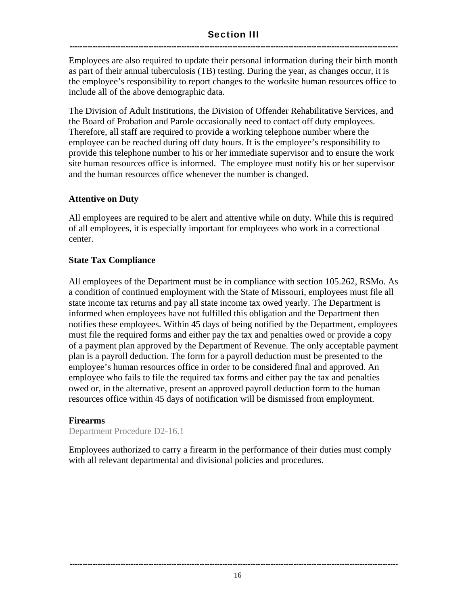#### Section III ---------------------------------------------------------------------------------------------------------------------------------

Employees are also required to update their personal information during their birth month as part of their annual tuberculosis (TB) testing. During the year, as changes occur, it is the employee's responsibility to report changes to the worksite human resources office to include all of the above demographic data.

The Division of Adult Institutions, the Division of Offender Rehabilitative Services, and the Board of Probation and Parole occasionally need to contact off duty employees. Therefore, all staff are required to provide a working telephone number where the employee can be reached during off duty hours. It is the employee's responsibility to provide this telephone number to his or her immediate supervisor and to ensure the work site human resources office is informed. The employee must notify his or her supervisor and the human resources office whenever the number is changed.

#### **Attentive on Duty**

All employees are required to be alert and attentive while on duty. While this is required of all employees, it is especially important for employees who work in a correctional center.

#### **State Tax Compliance**

All employees of the Department must be in compliance with section 105.262, RSMo. As a condition of continued employment with the State of Missouri, employees must file all state income tax returns and pay all state income tax owed yearly. The Department is informed when employees have not fulfilled this obligation and the Department then notifies these employees. Within 45 days of being notified by the Department, employees must file the required forms and either pay the tax and penalties owed or provide a copy of a payment plan approved by the Department of Revenue. The only acceptable payment plan is a payroll deduction. The form for a payroll deduction must be presented to the employee's human resources office in order to be considered final and approved. An employee who fails to file the required tax forms and either pay the tax and penalties owed or, in the alternative, present an approved payroll deduction form to the human resources office within 45 days of notification will be dismissed from employment.

#### **Firearms**

Department Procedure D2-16.1

Employees authorized to carry a firearm in the performance of their duties must comply with all relevant departmental and divisional policies and procedures.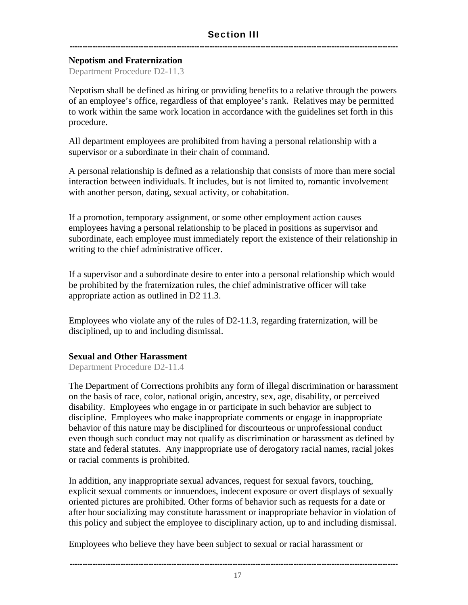#### **Nepotism and Fraternization**

Department Procedure D2-11.3

Nepotism shall be defined as hiring or providing benefits to a relative through the powers of an employee's office, regardless of that employee's rank. Relatives may be permitted to work within the same work location in accordance with the guidelines set forth in this procedure.

All department employees are prohibited from having a personal relationship with a supervisor or a subordinate in their chain of command.

A personal relationship is defined as a relationship that consists of more than mere social interaction between individuals. It includes, but is not limited to, romantic involvement with another person, dating, sexual activity, or cohabitation.

If a promotion, temporary assignment, or some other employment action causes employees having a personal relationship to be placed in positions as supervisor and subordinate, each employee must immediately report the existence of their relationship in writing to the chief administrative officer.

If a supervisor and a subordinate desire to enter into a personal relationship which would be prohibited by the fraternization rules, the chief administrative officer will take appropriate action as outlined in D2 11.3.

Employees who violate any of the rules of  $D2-11.3$ , regarding fraternization, will be disciplined, up to and including dismissal.

#### **Sexual and Other Harassment**

Department Procedure D2-11.4

The Department of Corrections prohibits any form of illegal discrimination or harassment on the basis of race, color, national origin, ancestry, sex, age, disability, or perceived disability. Employees who engage in or participate in such behavior are subject to discipline. Employees who make inappropriate comments or engage in inappropriate behavior of this nature may be disciplined for discourteous or unprofessional conduct even though such conduct may not qualify as discrimination or harassment as defined by state and federal statutes. Any inappropriate use of derogatory racial names, racial jokes or racial comments is prohibited.

In addition, any inappropriate sexual advances, request for sexual favors, touching, explicit sexual comments or innuendoes, indecent exposure or overt displays of sexually oriented pictures are prohibited. Other forms of behavior such as requests for a date or after hour socializing may constitute harassment or inappropriate behavior in violation of this policy and subject the employee to disciplinary action, up to and including dismissal.

Employees who believe they have been subject to sexual or racial harassment or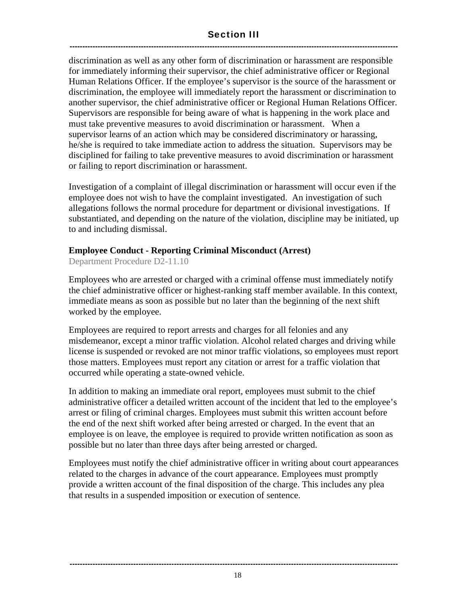#### Section III ---------------------------------------------------------------------------------------------------------------------------------

discrimination as well as any other form of discrimination or harassment are responsible for immediately informing their supervisor, the chief administrative officer or Regional Human Relations Officer. If the employee's supervisor is the source of the harassment or discrimination, the employee will immediately report the harassment or discrimination to another supervisor, the chief administrative officer or Regional Human Relations Officer. Supervisors are responsible for being aware of what is happening in the work place and must take preventive measures to avoid discrimination or harassment. When a supervisor learns of an action which may be considered discriminatory or harassing, he/she is required to take immediate action to address the situation. Supervisors may be disciplined for failing to take preventive measures to avoid discrimination or harassment or failing to report discrimination or harassment.

Investigation of a complaint of illegal discrimination or harassment will occur even if the employee does not wish to have the complaint investigated. An investigation of such allegations follows the normal procedure for department or divisional investigations. If substantiated, and depending on the nature of the violation, discipline may be initiated, up to and including dismissal.

#### **Employee Conduct - Reporting Criminal Misconduct (Arrest)**

Department Procedure D2-11.10

Employees who are arrested or charged with a criminal offense must immediately notify the chief administrative officer or highest-ranking staff member available. In this context, immediate means as soon as possible but no later than the beginning of the next shift worked by the employee.

Employees are required to report arrests and charges for all felonies and any misdemeanor, except a minor traffic violation. Alcohol related charges and driving while license is suspended or revoked are not minor traffic violations, so employees must report those matters. Employees must report any citation or arrest for a traffic violation that occurred while operating a state-owned vehicle.

In addition to making an immediate oral report, employees must submit to the chief administrative officer a detailed written account of the incident that led to the employee's arrest or filing of criminal charges. Employees must submit this written account before the end of the next shift worked after being arrested or charged. In the event that an employee is on leave, the employee is required to provide written notification as soon as possible but no later than three days after being arrested or charged.

Employees must notify the chief administrative officer in writing about court appearances related to the charges in advance of the court appearance. Employees must promptly provide a written account of the final disposition of the charge. This includes any plea that results in a suspended imposition or execution of sentence.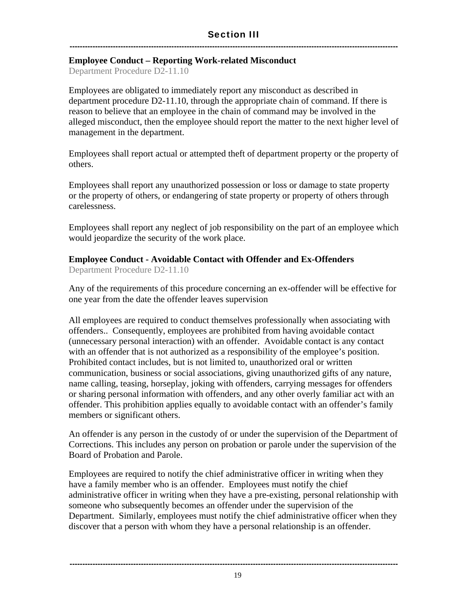#### **Employee Conduct – Reporting Work-related Misconduct**

Department Procedure D2-11.10

Employees are obligated to immediately report any misconduct as described in department procedure D2-11.10, through the appropriate chain of command. If there is reason to believe that an employee in the chain of command may be involved in the alleged misconduct, then the employee should report the matter to the next higher level of management in the department.

Employees shall report actual or attempted theft of department property or the property of others.

Employees shall report any unauthorized possession or loss or damage to state property or the property of others, or endangering of state property or property of others through carelessness.

Employees shall report any neglect of job responsibility on the part of an employee which would jeopardize the security of the work place.

#### **Employee Conduct - Avoidable Contact with Offender and Ex-Offenders**

Department Procedure D2-11.10

Any of the requirements of this procedure concerning an ex-offender will be effective for one year from the date the offender leaves supervision

All employees are required to conduct themselves professionally when associating with offenders.. Consequently, employees are prohibited from having avoidable contact (unnecessary personal interaction) with an offender. Avoidable contact is any contact with an offender that is not authorized as a responsibility of the employee's position. Prohibited contact includes, but is not limited to, unauthorized oral or written communication, business or social associations, giving unauthorized gifts of any nature, name calling, teasing, horseplay, joking with offenders, carrying messages for offenders or sharing personal information with offenders, and any other overly familiar act with an offender. This prohibition applies equally to avoidable contact with an offender's family members or significant others.

An offender is any person in the custody of or under the supervision of the Department of Corrections. This includes any person on probation or parole under the supervision of the Board of Probation and Parole.

Employees are required to notify the chief administrative officer in writing when they have a family member who is an offender. Employees must notify the chief administrative officer in writing when they have a pre-existing, personal relationship with someone who subsequently becomes an offender under the supervision of the Department. Similarly, employees must notify the chief administrative officer when they discover that a person with whom they have a personal relationship is an offender.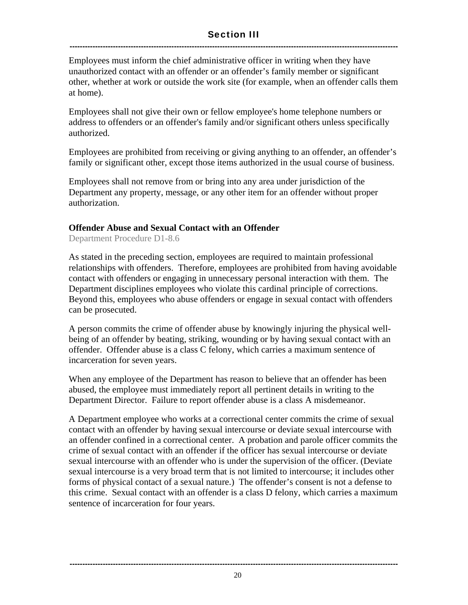#### Section III ---------------------------------------------------------------------------------------------------------------------------------

Employees must inform the chief administrative officer in writing when they have unauthorized contact with an offender or an offender's family member or significant other, whether at work or outside the work site (for example, when an offender calls them at home).

Employees shall not give their own or fellow employee's home telephone numbers or address to offenders or an offender's family and/or significant others unless specifically authorized.

Employees are prohibited from receiving or giving anything to an offender, an offender's family or significant other, except those items authorized in the usual course of business.

Employees shall not remove from or bring into any area under jurisdiction of the Department any property, message, or any other item for an offender without proper authorization.

#### **Offender Abuse and Sexual Contact with an Offender**

Department Procedure D1-8.6

As stated in the preceding section, employees are required to maintain professional relationships with offenders. Therefore, employees are prohibited from having avoidable contact with offenders or engaging in unnecessary personal interaction with them. The Department disciplines employees who violate this cardinal principle of corrections. Beyond this, employees who abuse offenders or engage in sexual contact with offenders can be prosecuted.

A person commits the crime of offender abuse by knowingly injuring the physical wellbeing of an offender by beating, striking, wounding or by having sexual contact with an offender. Offender abuse is a class C felony, which carries a maximum sentence of incarceration for seven years.

When any employee of the Department has reason to believe that an offender has been abused, the employee must immediately report all pertinent details in writing to the Department Director. Failure to report offender abuse is a class A misdemeanor.

A Department employee who works at a correctional center commits the crime of sexual contact with an offender by having sexual intercourse or deviate sexual intercourse with an offender confined in a correctional center. A probation and parole officer commits the crime of sexual contact with an offender if the officer has sexual intercourse or deviate sexual intercourse with an offender who is under the supervision of the officer. (Deviate sexual intercourse is a very broad term that is not limited to intercourse; it includes other forms of physical contact of a sexual nature.) The offender's consent is not a defense to this crime. Sexual contact with an offender is a class D felony, which carries a maximum sentence of incarceration for four years.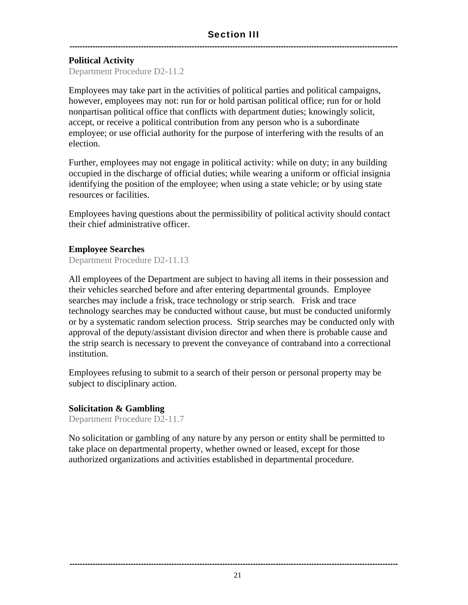#### **Political Activity**

Department Procedure D2-11.2

Employees may take part in the activities of political parties and political campaigns, however, employees may not: run for or hold partisan political office; run for or hold nonpartisan political office that conflicts with department duties; knowingly solicit, accept, or receive a political contribution from any person who is a subordinate employee; or use official authority for the purpose of interfering with the results of an election.

Further, employees may not engage in political activity: while on duty; in any building occupied in the discharge of official duties; while wearing a uniform or official insignia identifying the position of the employee; when using a state vehicle; or by using state resources or facilities.

Employees having questions about the permissibility of political activity should contact their chief administrative officer.

#### **Employee Searches**

Department Procedure D2-11.13

All employees of the Department are subject to having all items in their possession and their vehicles searched before and after entering departmental grounds. Employee searches may include a frisk, trace technology or strip search. Frisk and trace technology searches may be conducted without cause, but must be conducted uniformly or by a systematic random selection process. Strip searches may be conducted only with approval of the deputy/assistant division director and when there is probable cause and the strip search is necessary to prevent the conveyance of contraband into a correctional institution.

Employees refusing to submit to a search of their person or personal property may be subject to disciplinary action.

#### **Solicitation & Gambling**

Department Procedure D2-11.7

No solicitation or gambling of any nature by any person or entity shall be permitted to take place on departmental property, whether owned or leased, except for those authorized organizations and activities established in departmental procedure.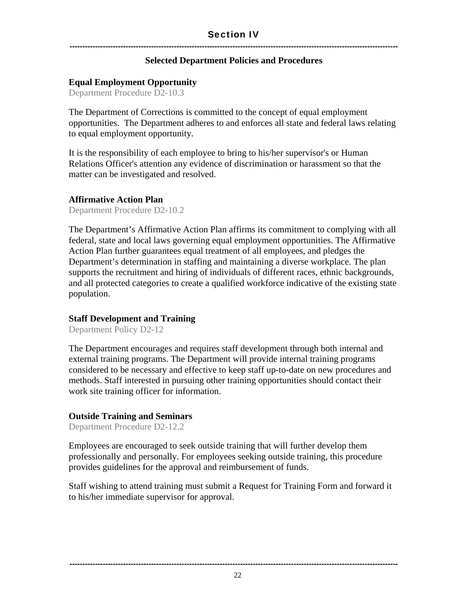#### **Selected Department Policies and Procedures**

#### **Equal Employment Opportunity**

Department Procedure D2-10.3

The Department of Corrections is committed to the concept of equal employment opportunities. The Department adheres to and enforces all state and federal laws relating to equal employment opportunity.

It is the responsibility of each employee to bring to his/her supervisor's or Human Relations Officer's attention any evidence of discrimination or harassment so that the matter can be investigated and resolved.

#### **Affirmative Action Plan**

Department Procedure D2-10.2

The Department's Affirmative Action Plan affirms its commitment to complying with all federal, state and local laws governing equal employment opportunities. The Affirmative Action Plan further guarantees equal treatment of all employees, and pledges the Department's determination in staffing and maintaining a diverse workplace. The plan supports the recruitment and hiring of individuals of different races, ethnic backgrounds, and all protected categories to create a qualified workforce indicative of the existing state population.

#### **Staff Development and Training**

Department Policy D2-12

The Department encourages and requires staff development through both internal and external training programs. The Department will provide internal training programs considered to be necessary and effective to keep staff up-to-date on new procedures and methods. Staff interested in pursuing other training opportunities should contact their work site training officer for information.

#### **Outside Training and Seminars**

Department Procedure D2-12.2

Employees are encouraged to seek outside training that will further develop them professionally and personally. For employees seeking outside training, this procedure provides guidelines for the approval and reimbursement of funds.

Staff wishing to attend training must submit a Request for Training Form and forward it to his/her immediate supervisor for approval.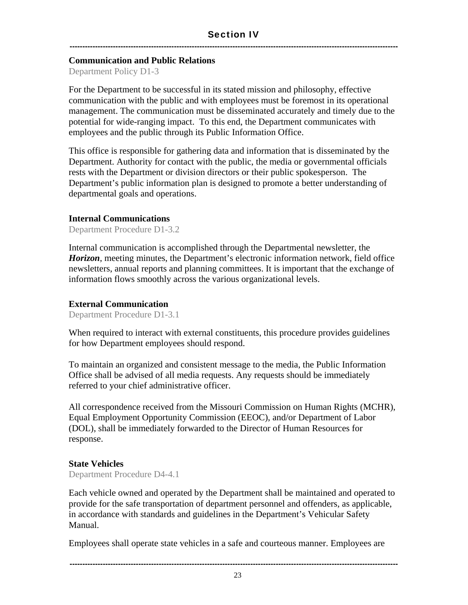#### **Communication and Public Relations**

Department Policy D1-3

For the Department to be successful in its stated mission and philosophy, effective communication with the public and with employees must be foremost in its operational management. The communication must be disseminated accurately and timely due to the potential for wide-ranging impact. To this end, the Department communicates with employees and the public through its Public Information Office.

This office is responsible for gathering data and information that is disseminated by the Department. Authority for contact with the public, the media or governmental officials rests with the Department or division directors or their public spokesperson. The Department's public information plan is designed to promote a better understanding of departmental goals and operations.

#### **Internal Communications**

Department Procedure D1-3.2

Internal communication is accomplished through the Departmental newsletter, the *Horizon*, meeting minutes, the Department's electronic information network, field office newsletters, annual reports and planning committees. It is important that the exchange of information flows smoothly across the various organizational levels.

#### **External Communication**

Department Procedure D1-3.1

When required to interact with external constituents, this procedure provides guidelines for how Department employees should respond.

To maintain an organized and consistent message to the media, the Public Information Office shall be advised of all media requests. Any requests should be immediately referred to your chief administrative officer.

All correspondence received from the Missouri Commission on Human Rights (MCHR), Equal Employment Opportunity Commission (EEOC), and/or Department of Labor (DOL), shall be immediately forwarded to the Director of Human Resources for response.

#### **State Vehicles**

Department Procedure D4-4.1

Each vehicle owned and operated by the Department shall be maintained and operated to provide for the safe transportation of department personnel and offenders, as applicable, in accordance with standards and guidelines in the Department's Vehicular Safety Manual.

Employees shall operate state vehicles in a safe and courteous manner. Employees are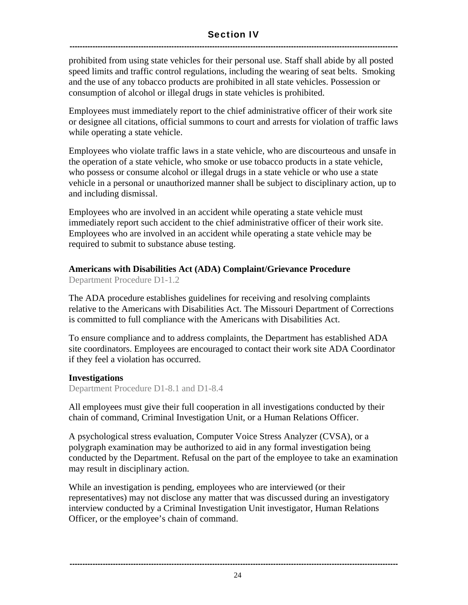#### Section IV ---------------------------------------------------------------------------------------------------------------------------------

prohibited from using state vehicles for their personal use. Staff shall abide by all posted speed limits and traffic control regulations, including the wearing of seat belts. Smoking and the use of any tobacco products are prohibited in all state vehicles. Possession or consumption of alcohol or illegal drugs in state vehicles is prohibited.

Employees must immediately report to the chief administrative officer of their work site or designee all citations, official summons to court and arrests for violation of traffic laws while operating a state vehicle.

Employees who violate traffic laws in a state vehicle, who are discourteous and unsafe in the operation of a state vehicle, who smoke or use tobacco products in a state vehicle, who possess or consume alcohol or illegal drugs in a state vehicle or who use a state vehicle in a personal or unauthorized manner shall be subject to disciplinary action, up to and including dismissal.

Employees who are involved in an accident while operating a state vehicle must immediately report such accident to the chief administrative officer of their work site. Employees who are involved in an accident while operating a state vehicle may be required to submit to substance abuse testing.

#### **Americans with Disabilities Act (ADA) Complaint/Grievance Procedure**

Department Procedure D1-1.2

The ADA procedure establishes guidelines for receiving and resolving complaints relative to the Americans with Disabilities Act. The Missouri Department of Corrections is committed to full compliance with the Americans with Disabilities Act.

To ensure compliance and to address complaints, the Department has established ADA site coordinators. Employees are encouraged to contact their work site ADA Coordinator if they feel a violation has occurred.

#### **Investigations**

Department Procedure D1-8.1 and D1-8.4

All employees must give their full cooperation in all investigations conducted by their chain of command, Criminal Investigation Unit, or a Human Relations Officer.

A psychological stress evaluation, Computer Voice Stress Analyzer (CVSA), or a polygraph examination may be authorized to aid in any formal investigation being conducted by the Department. Refusal on the part of the employee to take an examination may result in disciplinary action.

While an investigation is pending, employees who are interviewed (or their representatives) may not disclose any matter that was discussed during an investigatory interview conducted by a Criminal Investigation Unit investigator, Human Relations Officer, or the employee's chain of command.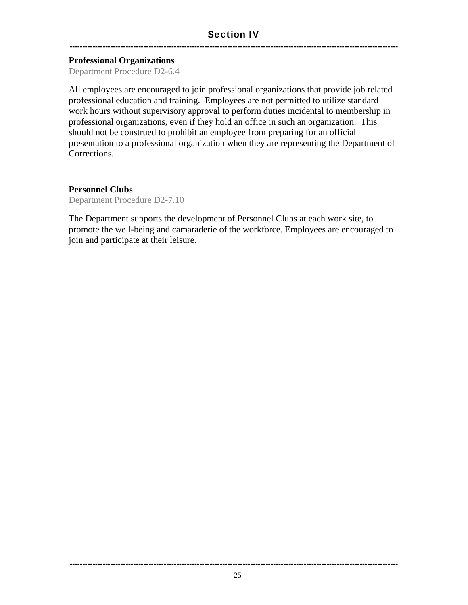#### Section IV

---------------------------------------------------------------------------------------------------------------------------------

#### **Professional Organizations**

Department Procedure D2-6.4

All employees are encouraged to join professional organizations that provide job related professional education and training. Employees are not permitted to utilize standard work hours without supervisory approval to perform duties incidental to membership in professional organizations, even if they hold an office in such an organization. This should not be construed to prohibit an employee from preparing for an official presentation to a professional organization when they are representing the Department of Corrections.

#### **Personnel Clubs**

Department Procedure D2-7.10

The Department supports the development of Personnel Clubs at each work site, to promote the well-being and camaraderie of the workforce. Employees are encouraged to join and participate at their leisure.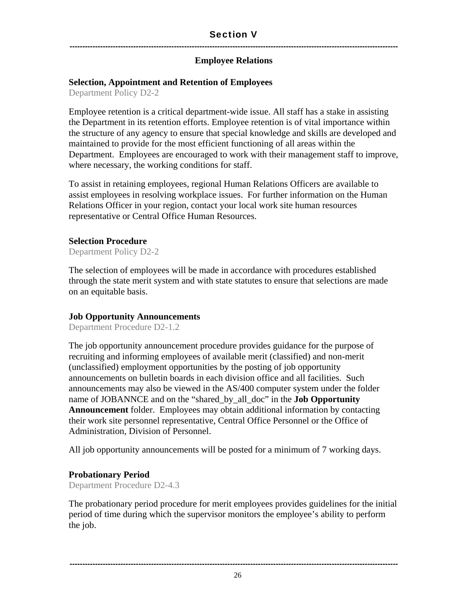#### Section V

#### ---------------------------------------------------------------------------------------------------------------------------------

#### **Employee Relations**

#### **Selection, Appointment and Retention of Employees**

Department Policy D2-2

Employee retention is a critical department-wide issue. All staff has a stake in assisting the Department in its retention efforts. Employee retention is of vital importance within the structure of any agency to ensure that special knowledge and skills are developed and maintained to provide for the most efficient functioning of all areas within the Department. Employees are encouraged to work with their management staff to improve, where necessary, the working conditions for staff.

To assist in retaining employees, regional Human Relations Officers are available to assist employees in resolving workplace issues. For further information on the Human Relations Officer in your region, contact your local work site human resources representative or Central Office Human Resources.

#### **Selection Procedure**

Department Policy D2-2

The selection of employees will be made in accordance with procedures established through the state merit system and with state statutes to ensure that selections are made on an equitable basis.

#### **Job Opportunity Announcements**

Department Procedure D2-1.2

The job opportunity announcement procedure provides guidance for the purpose of recruiting and informing employees of available merit (classified) and non-merit (unclassified) employment opportunities by the posting of job opportunity announcements on bulletin boards in each division office and all facilities. Such announcements may also be viewed in the AS/400 computer system under the folder name of JOBANNCE and on the "shared\_by\_all\_doc" in the **Job Opportunity Announcement** folder. Employees may obtain additional information by contacting their work site personnel representative, Central Office Personnel or the Office of Administration, Division of Personnel.

All job opportunity announcements will be posted for a minimum of 7 working days.

#### **Probationary Period**

Department Procedure D2-4.3

The probationary period procedure for merit employees provides guidelines for the initial period of time during which the supervisor monitors the employee's ability to perform the job.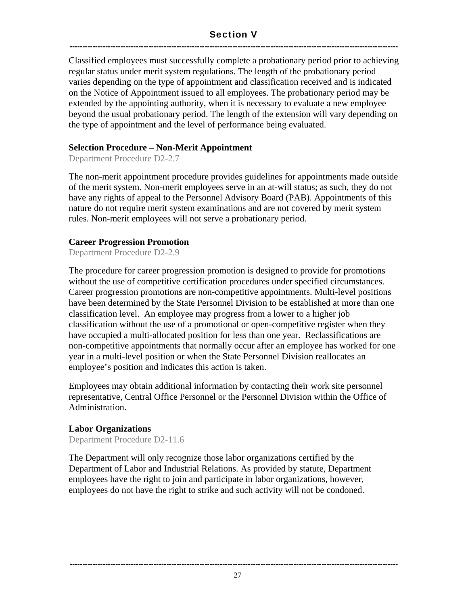#### Section V ---------------------------------------------------------------------------------------------------------------------------------

Classified employees must successfully complete a probationary period prior to achieving regular status under merit system regulations. The length of the probationary period varies depending on the type of appointment and classification received and is indicated on the Notice of Appointment issued to all employees. The probationary period may be extended by the appointing authority, when it is necessary to evaluate a new employee beyond the usual probationary period. The length of the extension will vary depending on the type of appointment and the level of performance being evaluated.

#### **Selection Procedure – Non-Merit Appointment**

Department Procedure D2-2.7

The non-merit appointment procedure provides guidelines for appointments made outside of the merit system. Non-merit employees serve in an at-will status; as such, they do not have any rights of appeal to the Personnel Advisory Board (PAB). Appointments of this nature do not require merit system examinations and are not covered by merit system rules. Non-merit employees will not serve a probationary period.

#### **Career Progression Promotion**

Department Procedure D2-2.9

The procedure for career progression promotion is designed to provide for promotions without the use of competitive certification procedures under specified circumstances. Career progression promotions are non-competitive appointments. Multi-level positions have been determined by the State Personnel Division to be established at more than one classification level. An employee may progress from a lower to a higher job classification without the use of a promotional or open-competitive register when they have occupied a multi-allocated position for less than one year. Reclassifications are non-competitive appointments that normally occur after an employee has worked for one year in a multi-level position or when the State Personnel Division reallocates an employee's position and indicates this action is taken.

Employees may obtain additional information by contacting their work site personnel representative, Central Office Personnel or the Personnel Division within the Office of Administration.

#### **Labor Organizations**

Department Procedure D2-11.6

The Department will only recognize those labor organizations certified by the Department of Labor and Industrial Relations. As provided by statute, Department employees have the right to join and participate in labor organizations, however, employees do not have the right to strike and such activity will not be condoned.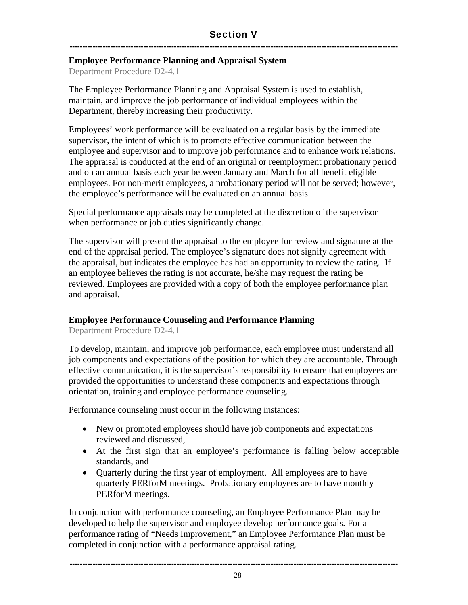#### **Employee Performance Planning and Appraisal System**

Department Procedure D2-4.1

The Employee Performance Planning and Appraisal System is used to establish, maintain, and improve the job performance of individual employees within the Department, thereby increasing their productivity.

Employees' work performance will be evaluated on a regular basis by the immediate supervisor, the intent of which is to promote effective communication between the employee and supervisor and to improve job performance and to enhance work relations. The appraisal is conducted at the end of an original or reemployment probationary period and on an annual basis each year between January and March for all benefit eligible employees. For non-merit employees, a probationary period will not be served; however, the employee's performance will be evaluated on an annual basis.

Special performance appraisals may be completed at the discretion of the supervisor when performance or job duties significantly change.

The supervisor will present the appraisal to the employee for review and signature at the end of the appraisal period. The employee's signature does not signify agreement with the appraisal, but indicates the employee has had an opportunity to review the rating. If an employee believes the rating is not accurate, he/she may request the rating be reviewed. Employees are provided with a copy of both the employee performance plan and appraisal.

#### **Employee Performance Counseling and Performance Planning**

Department Procedure D2-4.1

To develop, maintain, and improve job performance, each employee must understand all job components and expectations of the position for which they are accountable. Through effective communication, it is the supervisor's responsibility to ensure that employees are provided the opportunities to understand these components and expectations through orientation, training and employee performance counseling.

Performance counseling must occur in the following instances:

- New or promoted employees should have job components and expectations reviewed and discussed,
- At the first sign that an employee's performance is falling below acceptable standards, and
- Quarterly during the first year of employment. All employees are to have quarterly PERforM meetings. Probationary employees are to have monthly PERforM meetings.

In conjunction with performance counseling, an Employee Performance Plan may be developed to help the supervisor and employee develop performance goals. For a performance rating of "Needs Improvement," an Employee Performance Plan must be completed in conjunction with a performance appraisal rating.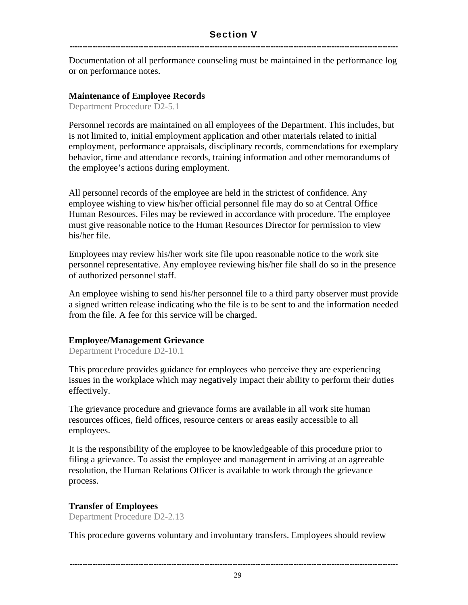Documentation of all performance counseling must be maintained in the performance log or on performance notes.

#### **Maintenance of Employee Records**

Department Procedure D2-5.1

Personnel records are maintained on all employees of the Department. This includes, but is not limited to, initial employment application and other materials related to initial employment, performance appraisals, disciplinary records, commendations for exemplary behavior, time and attendance records, training information and other memorandums of the employee's actions during employment.

All personnel records of the employee are held in the strictest of confidence. Any employee wishing to view his/her official personnel file may do so at Central Office Human Resources. Files may be reviewed in accordance with procedure. The employee must give reasonable notice to the Human Resources Director for permission to view his/her file.

Employees may review his/her work site file upon reasonable notice to the work site personnel representative. Any employee reviewing his/her file shall do so in the presence of authorized personnel staff.

An employee wishing to send his/her personnel file to a third party observer must provide a signed written release indicating who the file is to be sent to and the information needed from the file. A fee for this service will be charged.

#### **Employee/Management Grievance**

Department Procedure D2-10.1

This procedure provides guidance for employees who perceive they are experiencing issues in the workplace which may negatively impact their ability to perform their duties effectively.

The grievance procedure and grievance forms are available in all work site human resources offices, field offices, resource centers or areas easily accessible to all employees.

It is the responsibility of the employee to be knowledgeable of this procedure prior to filing a grievance. To assist the employee and management in arriving at an agreeable resolution, the Human Relations Officer is available to work through the grievance process.

#### **Transfer of Employees**

Department Procedure D2-2.13

This procedure governs voluntary and involuntary transfers. Employees should review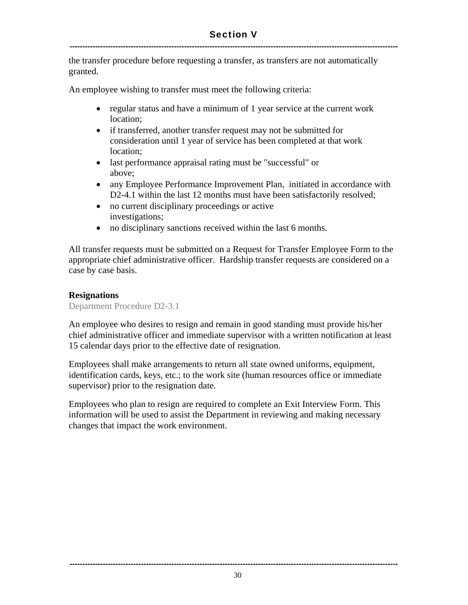#### Section V ---------------------------------------------------------------------------------------------------------------------------------

the transfer procedure before requesting a transfer, as transfers are not automatically granted.

An employee wishing to transfer must meet the following criteria:

- regular status and have a minimum of 1 year service at the current work location;
- if transferred, another transfer request may not be submitted for consideration until 1 year of service has been completed at that work location;
- last performance appraisal rating must be "successful" or above;
- any Employee Performance Improvement Plan, initiated in accordance with D2-4.1 within the last 12 months must have been satisfactorily resolved;
- no current disciplinary proceedings or active investigations;
- no disciplinary sanctions received within the last 6 months.

All transfer requests must be submitted on a Request for Transfer Employee Form to the appropriate chief administrative officer. Hardship transfer requests are considered on a case by case basis.

#### **Resignations**

Department Procedure D2-3.1

An employee who desires to resign and remain in good standing must provide his/her chief administrative officer and immediate supervisor with a written notification at least 15 calendar days prior to the effective date of resignation.

Employees shall make arrangements to return all state owned uniforms, equipment, identification cards, keys, etc.; to the work site (human resources office or immediate supervisor) prior to the resignation date.

Employees who plan to resign are required to complete an Exit Interview Form. This information will be used to assist the Department in reviewing and making necessary changes that impact the work environment.

---------------------------------------------------------------------------------------------------------------------------------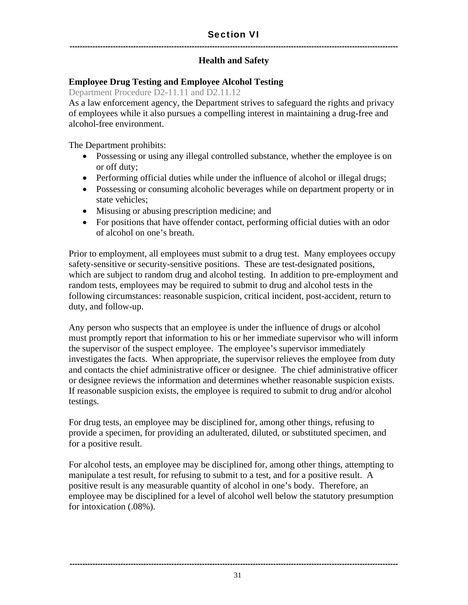#### ---------------------------------------------------------------------------------------------------------------------------------

#### **Health and Safety**

#### **Employee Drug Testing and Employee Alcohol Testing**

Department Procedure D2-11.11 and D2.11.12

As a law enforcement agency, the Department strives to safeguard the rights and privacy of employees while it also pursues a compelling interest in maintaining a drug-free and alcohol-free environment.

The Department prohibits:

- Possessing or using any illegal controlled substance, whether the employee is on or off duty;
- Performing official duties while under the influence of alcohol or illegal drugs;
- Possessing or consuming alcoholic beverages while on department property or in state vehicles;
- Misusing or abusing prescription medicine; and
- For positions that have offender contact, performing official duties with an odor of alcohol on one's breath.

Prior to employment, all employees must submit to a drug test. Many employees occupy safety-sensitive or security-sensitive positions. These are test-designated positions, which are subject to random drug and alcohol testing. In addition to pre-employment and random tests, employees may be required to submit to drug and alcohol tests in the following circumstances: reasonable suspicion, critical incident, post-accident, return to duty, and follow-up.

Any person who suspects that an employee is under the influence of drugs or alcohol must promptly report that information to his or her immediate supervisor who will inform the supervisor of the suspect employee. The employee's supervisor immediately investigates the facts. When appropriate, the supervisor relieves the employee from duty and contacts the chief administrative officer or designee. The chief administrative officer or designee reviews the information and determines whether reasonable suspicion exists. If reasonable suspicion exists, the employee is required to submit to drug and/or alcohol testings.

For drug tests, an employee may be disciplined for, among other things, refusing to provide a specimen, for providing an adulterated, diluted, or substituted specimen, and for a positive result.

For alcohol tests, an employee may be disciplined for, among other things, attempting to manipulate a test result, for refusing to submit to a test, and for a positive result. A positive result is any measurable quantity of alcohol in one's body. Therefore, an employee may be disciplined for a level of alcohol well below the statutory presumption for intoxication (.08%).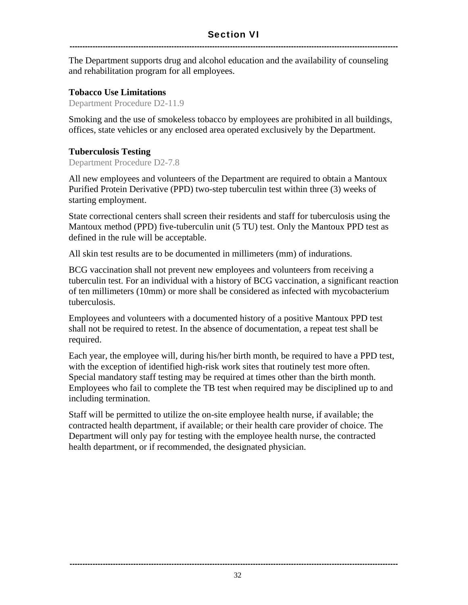The Department supports drug and alcohol education and the availability of counseling and rehabilitation program for all employees.

#### **Tobacco Use Limitations**

Department Procedure D2-11.9

Smoking and the use of smokeless tobacco by employees are prohibited in all buildings, offices, state vehicles or any enclosed area operated exclusively by the Department.

#### **Tuberculosis Testing**

Department Procedure D2-7.8

All new employees and volunteers of the Department are required to obtain a Mantoux Purified Protein Derivative (PPD) two-step tuberculin test within three (3) weeks of starting employment.

State correctional centers shall screen their residents and staff for tuberculosis using the Mantoux method (PPD) five-tuberculin unit (5 TU) test. Only the Mantoux PPD test as defined in the rule will be acceptable.

All skin test results are to be documented in millimeters (mm) of indurations.

BCG vaccination shall not prevent new employees and volunteers from receiving a tuberculin test. For an individual with a history of BCG vaccination, a significant reaction of ten millimeters (10mm) or more shall be considered as infected with mycobacterium tuberculosis.

Employees and volunteers with a documented history of a positive Mantoux PPD test shall not be required to retest. In the absence of documentation, a repeat test shall be required.

Each year, the employee will, during his/her birth month, be required to have a PPD test, with the exception of identified high-risk work sites that routinely test more often. Special mandatory staff testing may be required at times other than the birth month. Employees who fail to complete the TB test when required may be disciplined up to and including termination.

Staff will be permitted to utilize the on-site employee health nurse, if available; the contracted health department, if available; or their health care provider of choice. The Department will only pay for testing with the employee health nurse, the contracted health department, or if recommended, the designated physician.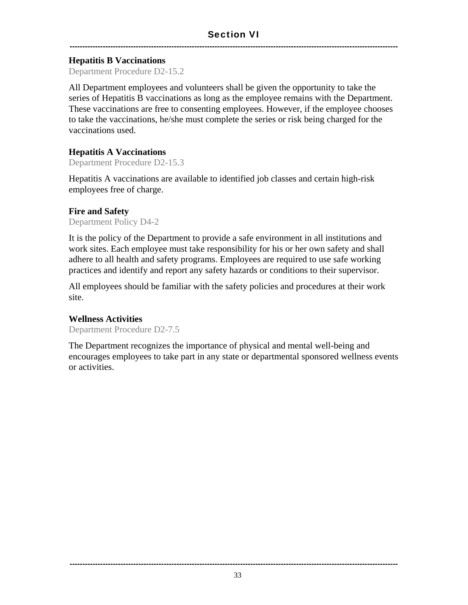#### **Hepatitis B Vaccinations**

Department Procedure D2-15.2

All Department employees and volunteers shall be given the opportunity to take the series of Hepatitis B vaccinations as long as the employee remains with the Department. These vaccinations are free to consenting employees. However, if the employee chooses to take the vaccinations, he/she must complete the series or risk being charged for the vaccinations used.

#### **Hepatitis A Vaccinations**

Department Procedure D2-15.3

Hepatitis A vaccinations are available to identified job classes and certain high-risk employees free of charge.

#### **Fire and Safety**

Department Policy D4-2

It is the policy of the Department to provide a safe environment in all institutions and work sites. Each employee must take responsibility for his or her own safety and shall adhere to all health and safety programs. Employees are required to use safe working practices and identify and report any safety hazards or conditions to their supervisor.

All employees should be familiar with the safety policies and procedures at their work site.

#### **Wellness Activities**

Department Procedure D2-7.5

The Department recognizes the importance of physical and mental well-being and encourages employees to take part in any state or departmental sponsored wellness events or activities.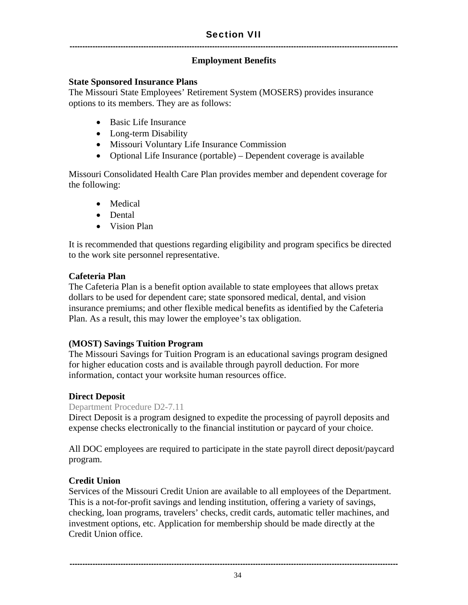#### **Employment Benefits**

#### **State Sponsored Insurance Plans**

The Missouri State Employees' Retirement System (MOSERS) provides insurance options to its members. They are as follows:

- Basic Life Insurance
- Long-term Disability
- Missouri Voluntary Life Insurance Commission
- Optional Life Insurance (portable) Dependent coverage is available

Missouri Consolidated Health Care Plan provides member and dependent coverage for the following:

- Medical
- Dental
- Vision Plan

It is recommended that questions regarding eligibility and program specifics be directed to the work site personnel representative.

#### **Cafeteria Plan**

The Cafeteria Plan is a benefit option available to state employees that allows pretax dollars to be used for dependent care; state sponsored medical, dental, and vision insurance premiums; and other flexible medical benefits as identified by the Cafeteria Plan. As a result, this may lower the employee's tax obligation.

#### **(MOST) Savings Tuition Program**

The Missouri Savings for Tuition Program is an educational savings program designed for higher education costs and is available through payroll deduction. For more information, contact your worksite human resources office.

#### **Direct Deposit**

#### Department Procedure D2-7.11

Direct Deposit is a program designed to expedite the processing of payroll deposits and expense checks electronically to the financial institution or paycard of your choice.

All DOC employees are required to participate in the state payroll direct deposit/paycard program.

#### **Credit Union**

Services of the Missouri Credit Union are available to all employees of the Department. This is a not-for-profit savings and lending institution, offering a variety of savings, checking, loan programs, travelers' checks, credit cards, automatic teller machines, and investment options, etc. Application for membership should be made directly at the Credit Union office.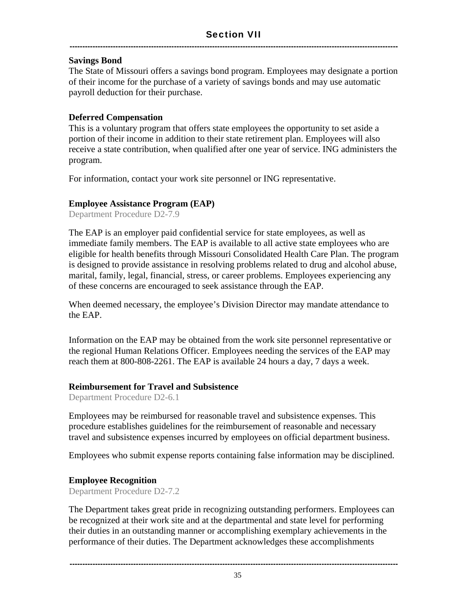#### **Savings Bond**

The State of Missouri offers a savings bond program. Employees may designate a portion of their income for the purchase of a variety of savings bonds and may use automatic payroll deduction for their purchase.

#### **Deferred Compensation**

This is a voluntary program that offers state employees the opportunity to set aside a portion of their income in addition to their state retirement plan. Employees will also receive a state contribution, when qualified after one year of service. ING administers the program.

For information, contact your work site personnel or ING representative.

#### **Employee Assistance Program (EAP)**

Department Procedure D2-7.9

The EAP is an employer paid confidential service for state employees, as well as immediate family members. The EAP is available to all active state employees who are eligible for health benefits through Missouri Consolidated Health Care Plan. The program is designed to provide assistance in resolving problems related to drug and alcohol abuse, marital, family, legal, financial, stress, or career problems. Employees experiencing any of these concerns are encouraged to seek assistance through the EAP.

When deemed necessary, the employee's Division Director may mandate attendance to the EAP.

Information on the EAP may be obtained from the work site personnel representative or the regional Human Relations Officer. Employees needing the services of the EAP may reach them at 800-808-2261. The EAP is available 24 hours a day, 7 days a week.

#### **Reimbursement for Travel and Subsistence**

Department Procedure D2-6.1

Employees may be reimbursed for reasonable travel and subsistence expenses. This procedure establishes guidelines for the reimbursement of reasonable and necessary travel and subsistence expenses incurred by employees on official department business.

Employees who submit expense reports containing false information may be disciplined.

#### **Employee Recognition**

Department Procedure D2-7.2

The Department takes great pride in recognizing outstanding performers. Employees can be recognized at their work site and at the departmental and state level for performing their duties in an outstanding manner or accomplishing exemplary achievements in the performance of their duties. The Department acknowledges these accomplishments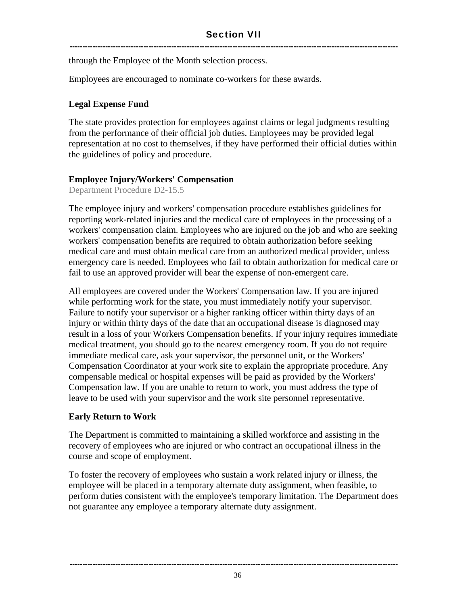through the Employee of the Month selection process.

Employees are encouraged to nominate co-workers for these awards.

#### **Legal Expense Fund**

The state provides protection for employees against claims or legal judgments resulting from the performance of their official job duties. Employees may be provided legal representation at no cost to themselves, if they have performed their official duties within the guidelines of policy and procedure.

#### **Employee Injury/Workers' Compensation**

Department Procedure D2-15.5

The employee injury and workers' compensation procedure establishes guidelines for reporting work-related injuries and the medical care of employees in the processing of a workers' compensation claim. Employees who are injured on the job and who are seeking workers' compensation benefits are required to obtain authorization before seeking medical care and must obtain medical care from an authorized medical provider, unless emergency care is needed. Employees who fail to obtain authorization for medical care or fail to use an approved provider will bear the expense of non-emergent care.

All employees are covered under the Workers' Compensation law. If you are injured while performing work for the state, you must immediately notify your supervisor. Failure to notify your supervisor or a higher ranking officer within thirty days of an injury or within thirty days of the date that an occupational disease is diagnosed may result in a loss of your Workers Compensation benefits. If your injury requires immediate medical treatment, you should go to the nearest emergency room. If you do not require immediate medical care, ask your supervisor, the personnel unit, or the Workers' Compensation Coordinator at your work site to explain the appropriate procedure. Any compensable medical or hospital expenses will be paid as provided by the Workers' Compensation law. If you are unable to return to work, you must address the type of leave to be used with your supervisor and the work site personnel representative.

#### **Early Return to Work**

The Department is committed to maintaining a skilled workforce and assisting in the recovery of employees who are injured or who contract an occupational illness in the course and scope of employment.

To foster the recovery of employees who sustain a work related injury or illness, the employee will be placed in a temporary alternate duty assignment, when feasible, to perform duties consistent with the employee's temporary limitation. The Department does not guarantee any employee a temporary alternate duty assignment.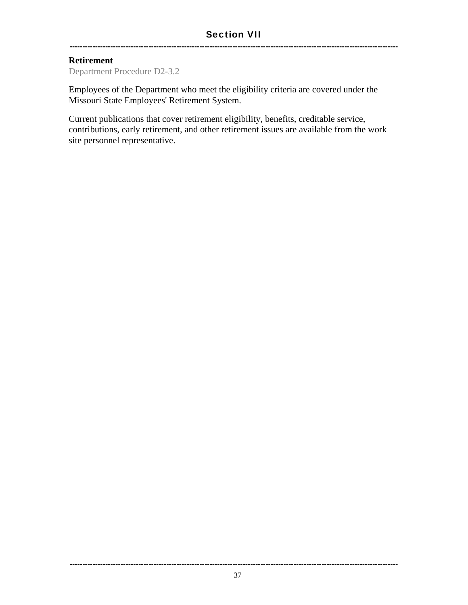#### **Retirement**

Department Procedure D2-3.2

Employees of the Department who meet the eligibility criteria are covered under the Missouri State Employees' Retirement System.

---------------------------------------------------------------------------------------------------------------------------------

Current publications that cover retirement eligibility, benefits, creditable service, contributions, early retirement, and other retirement issues are available from the work site personnel representative.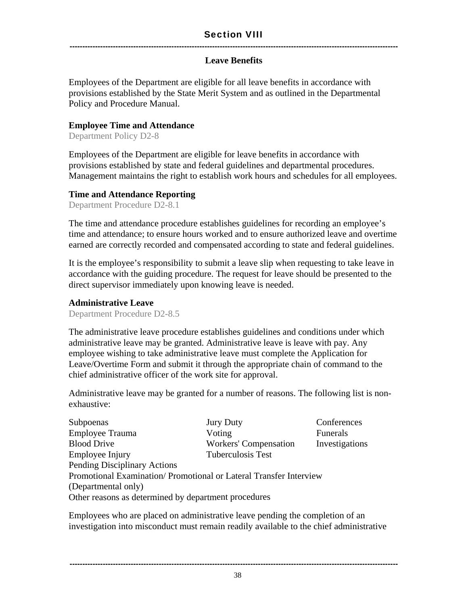#### **Leave Benefits**

Employees of the Department are eligible for all leave benefits in accordance with provisions established by the State Merit System and as outlined in the Departmental Policy and Procedure Manual.

#### **Employee Time and Attendance**

Department Policy D2-8

Employees of the Department are eligible for leave benefits in accordance with provisions established by state and federal guidelines and departmental procedures. Management maintains the right to establish work hours and schedules for all employees.

#### **Time and Attendance Reporting**

Department Procedure D2-8.1

The time and attendance procedure establishes guidelines for recording an employee's time and attendance; to ensure hours worked and to ensure authorized leave and overtime earned are correctly recorded and compensated according to state and federal guidelines.

It is the employee's responsibility to submit a leave slip when requesting to take leave in accordance with the guiding procedure. The request for leave should be presented to the direct supervisor immediately upon knowing leave is needed.

#### **Administrative Leave**

Department Procedure D2-8.5

The administrative leave procedure establishes guidelines and conditions under which administrative leave may be granted. Administrative leave is leave with pay. Any employee wishing to take administrative leave must complete the Application for Leave/Overtime Form and submit it through the appropriate chain of command to the chief administrative officer of the work site for approval.

Administrative leave may be granted for a number of reasons. The following list is nonexhaustive:

| Subpoenas                                                         | <b>Jury Duty</b>             | Conferences    |  |
|-------------------------------------------------------------------|------------------------------|----------------|--|
| Employee Trauma                                                   | Voting                       | Funerals       |  |
| <b>Blood Drive</b>                                                | <b>Workers' Compensation</b> | Investigations |  |
| Employee Injury                                                   | Tuberculosis Test            |                |  |
| <b>Pending Disciplinary Actions</b>                               |                              |                |  |
| Promotional Examination/Promotional or Lateral Transfer Interview |                              |                |  |
| (Departmental only)                                               |                              |                |  |
| Other reasons as determined by department procedures              |                              |                |  |

Employees who are placed on administrative leave pending the completion of an investigation into misconduct must remain readily available to the chief administrative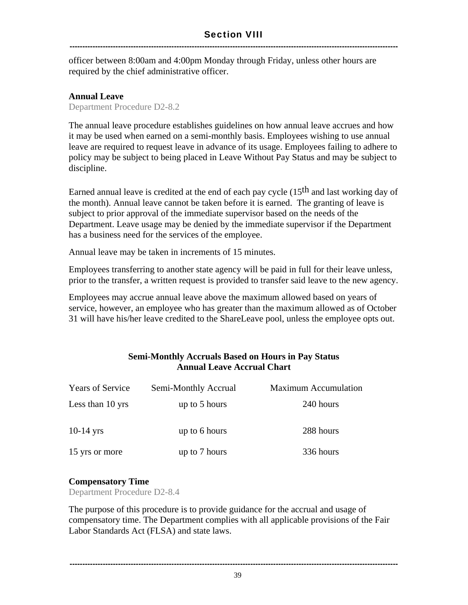officer between 8:00am and 4:00pm Monday through Friday, unless other hours are required by the chief administrative officer.

#### **Annual Leave**

Department Procedure D2-8.2

The annual leave procedure establishes guidelines on how annual leave accrues and how it may be used when earned on a semi-monthly basis. Employees wishing to use annual leave are required to request leave in advance of its usage. Employees failing to adhere to policy may be subject to being placed in Leave Without Pay Status and may be subject to discipline.

Earned annual leave is credited at the end of each pay cycle  $(15<sup>th</sup>$  and last working day of the month). Annual leave cannot be taken before it is earned. The granting of leave is subject to prior approval of the immediate supervisor based on the needs of the Department. Leave usage may be denied by the immediate supervisor if the Department has a business need for the services of the employee.

Annual leave may be taken in increments of 15 minutes.

Employees transferring to another state agency will be paid in full for their leave unless, prior to the transfer, a written request is provided to transfer said leave to the new agency.

Employees may accrue annual leave above the maximum allowed based on years of service, however, an employee who has greater than the maximum allowed as of October 31 will have his/her leave credited to the ShareLeave pool, unless the employee opts out.

#### **Semi-Monthly Accruals Based on Hours in Pay Status Annual Leave Accrual Chart**

| <b>Years of Service</b> | Semi-Monthly Accrual | <b>Maximum Accumulation</b> |
|-------------------------|----------------------|-----------------------------|
| Less than 10 yrs        | up to 5 hours        | 240 hours                   |
| $10-14$ yrs             | up to 6 hours        | 288 hours                   |
| 15 yrs or more          | up to 7 hours        | 336 hours                   |

#### **Compensatory Time**

Department Procedure D2-8.4

The purpose of this procedure is to provide guidance for the accrual and usage of compensatory time. The Department complies with all applicable provisions of the Fair Labor Standards Act (FLSA) and state laws.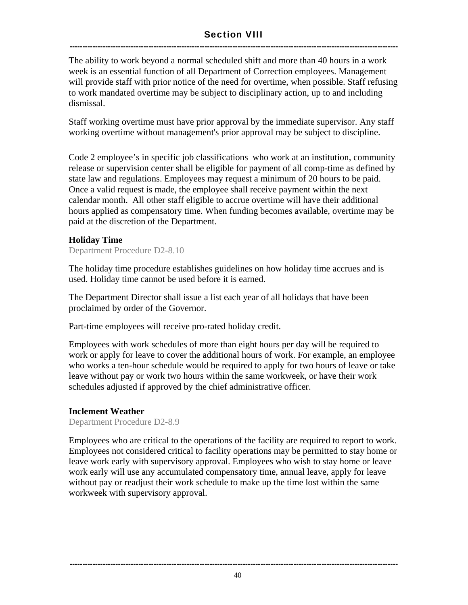#### Section VIII ---------------------------------------------------------------------------------------------------------------------------------

The ability to work beyond a normal scheduled shift and more than 40 hours in a work week is an essential function of all Department of Correction employees. Management will provide staff with prior notice of the need for overtime, when possible. Staff refusing to work mandated overtime may be subject to disciplinary action, up to and including dismissal.

Staff working overtime must have prior approval by the immediate supervisor. Any staff working overtime without management's prior approval may be subject to discipline.

Code 2 employee's in specific job classifications who work at an institution, community release or supervision center shall be eligible for payment of all comp-time as defined by state law and regulations. Employees may request a minimum of 20 hours to be paid. Once a valid request is made, the employee shall receive payment within the next calendar month. All other staff eligible to accrue overtime will have their additional hours applied as compensatory time. When funding becomes available, overtime may be paid at the discretion of the Department.

#### **Holiday Time**

Department Procedure D2-8.10

The holiday time procedure establishes guidelines on how holiday time accrues and is used. Holiday time cannot be used before it is earned.

The Department Director shall issue a list each year of all holidays that have been proclaimed by order of the Governor.

Part-time employees will receive pro-rated holiday credit.

Employees with work schedules of more than eight hours per day will be required to work or apply for leave to cover the additional hours of work. For example, an employee who works a ten-hour schedule would be required to apply for two hours of leave or take leave without pay or work two hours within the same workweek, or have their work schedules adjusted if approved by the chief administrative officer.

#### **Inclement Weather**

Department Procedure D2-8.9

Employees who are critical to the operations of the facility are required to report to work. Employees not considered critical to facility operations may be permitted to stay home or leave work early with supervisory approval. Employees who wish to stay home or leave work early will use any accumulated compensatory time, annual leave, apply for leave without pay or readjust their work schedule to make up the time lost within the same workweek with supervisory approval.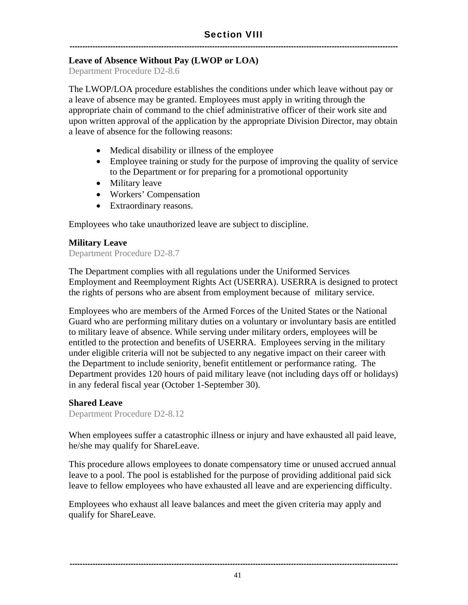#### **Leave of Absence Without Pay (LWOP or LOA)**

Department Procedure D2-8.6

The LWOP/LOA procedure establishes the conditions under which leave without pay or a leave of absence may be granted. Employees must apply in writing through the appropriate chain of command to the chief administrative officer of their work site and upon written approval of the application by the appropriate Division Director, may obtain a leave of absence for the following reasons:

- Medical disability or illness of the employee
- Employee training or study for the purpose of improving the quality of service to the Department or for preparing for a promotional opportunity
- Military leave
- Workers' Compensation
- Extraordinary reasons.

Employees who take unauthorized leave are subject to discipline.

#### **Military Leave**

Department Procedure D2-8.7

The Department complies with all regulations under the Uniformed Services Employment and Reemployment Rights Act (USERRA). USERRA is designed to protect the rights of persons who are absent from employment because of military service.

Employees who are members of the Armed Forces of the United States or the National Guard who are performing military duties on a voluntary or involuntary basis are entitled to military leave of absence. While serving under military orders, employees will be entitled to the protection and benefits of USERRA. Employees serving in the military under eligible criteria will not be subjected to any negative impact on their career with the Department to include seniority, benefit entitlement or performance rating. The Department provides 120 hours of paid military leave (not including days off or holidays) in any federal fiscal year (October 1-September 30).

#### **Shared Leave**

Department Procedure D2-8.12

When employees suffer a catastrophic illness or injury and have exhausted all paid leave, he/she may qualify for ShareLeave.

This procedure allows employees to donate compensatory time or unused accrued annual leave to a pool. The pool is established for the purpose of providing additional paid sick leave to fellow employees who have exhausted all leave and are experiencing difficulty.

Employees who exhaust all leave balances and meet the given criteria may apply and qualify for ShareLeave.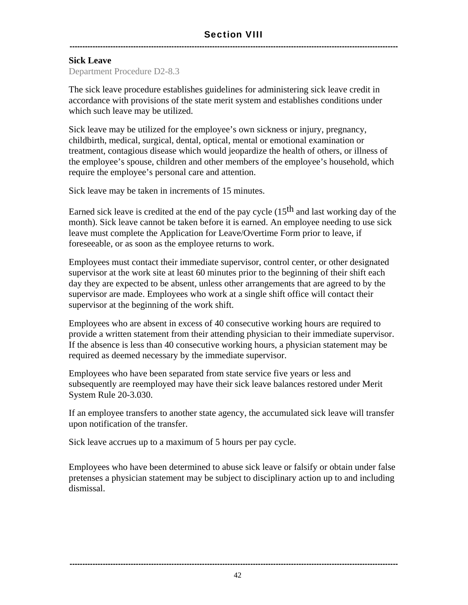#### **Sick Leave**

Department Procedure D2-8.3

The sick leave procedure establishes guidelines for administering sick leave credit in accordance with provisions of the state merit system and establishes conditions under which such leave may be utilized.

Sick leave may be utilized for the employee's own sickness or injury, pregnancy, childbirth, medical, surgical, dental, optical, mental or emotional examination or treatment, contagious disease which would jeopardize the health of others, or illness of the employee's spouse, children and other members of the employee's household, which require the employee's personal care and attention.

Sick leave may be taken in increments of 15 minutes.

Earned sick leave is credited at the end of the pay cycle  $(15<sup>th</sup>$  and last working day of the month). Sick leave cannot be taken before it is earned. An employee needing to use sick leave must complete the Application for Leave/Overtime Form prior to leave, if foreseeable, or as soon as the employee returns to work.

Employees must contact their immediate supervisor, control center, or other designated supervisor at the work site at least 60 minutes prior to the beginning of their shift each day they are expected to be absent, unless other arrangements that are agreed to by the supervisor are made. Employees who work at a single shift office will contact their supervisor at the beginning of the work shift.

Employees who are absent in excess of 40 consecutive working hours are required to provide a written statement from their attending physician to their immediate supervisor. If the absence is less than 40 consecutive working hours, a physician statement may be required as deemed necessary by the immediate supervisor.

Employees who have been separated from state service five years or less and subsequently are reemployed may have their sick leave balances restored under Merit System Rule 20-3.030.

If an employee transfers to another state agency, the accumulated sick leave will transfer upon notification of the transfer.

Sick leave accrues up to a maximum of 5 hours per pay cycle.

Employees who have been determined to abuse sick leave or falsify or obtain under false pretenses a physician statement may be subject to disciplinary action up to and including dismissal.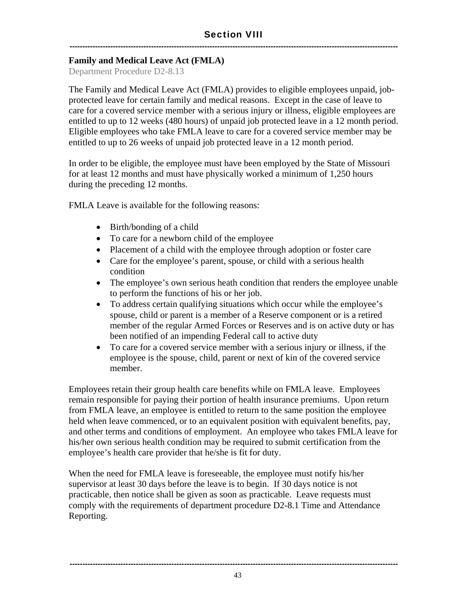#### **Family and Medical Leave Act (FMLA)**

Department Procedure D2-8.13

The Family and Medical Leave Act (FMLA) provides to eligible employees unpaid, jobprotected leave for certain family and medical reasons. Except in the case of leave to care for a covered service member with a serious injury or illness, eligible employees are entitled to up to 12 weeks (480 hours) of unpaid job protected leave in a 12 month period. Eligible employees who take FMLA leave to care for a covered service member may be entitled to up to 26 weeks of unpaid job protected leave in a 12 month period.

In order to be eligible, the employee must have been employed by the State of Missouri for at least 12 months and must have physically worked a minimum of 1,250 hours during the preceding 12 months.

FMLA Leave is available for the following reasons:

- Birth/bonding of a child
- To care for a newborn child of the employee
- Placement of a child with the employee through adoption or foster care
- Care for the employee's parent, spouse, or child with a serious health condition
- The employee's own serious heath condition that renders the employee unable to perform the functions of his or her job.
- To address certain qualifying situations which occur while the employee's spouse, child or parent is a member of a Reserve component or is a retired member of the regular Armed Forces or Reserves and is on active duty or has been notified of an impending Federal call to active duty
- To care for a covered service member with a serious injury or illness, if the employee is the spouse, child, parent or next of kin of the covered service member.

Employees retain their group health care benefits while on FMLA leave. Employees remain responsible for paying their portion of health insurance premiums. Upon return from FMLA leave, an employee is entitled to return to the same position the employee held when leave commenced, or to an equivalent position with equivalent benefits, pay, and other terms and conditions of employment. An employee who takes FMLA leave for his/her own serious health condition may be required to submit certification from the employee's health care provider that he/she is fit for duty.

When the need for FMLA leave is foreseeable, the employee must notify his/her supervisor at least 30 days before the leave is to begin. If 30 days notice is not practicable, then notice shall be given as soon as practicable. Leave requests must comply with the requirements of department procedure D2-8.1 Time and Attendance Reporting.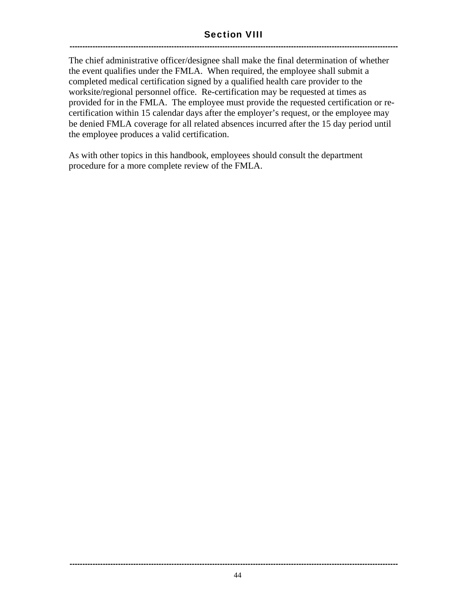#### Section VIII ---------------------------------------------------------------------------------------------------------------------------------

The chief administrative officer/designee shall make the final determination of whether the event qualifies under the FMLA. When required, the employee shall submit a completed medical certification signed by a qualified health care provider to the worksite/regional personnel office. Re-certification may be requested at times as provided for in the FMLA. The employee must provide the requested certification or recertification within 15 calendar days after the employer's request, or the employee may be denied FMLA coverage for all related absences incurred after the 15 day period until the employee produces a valid certification.

As with other topics in this handbook, employees should consult the department procedure for a more complete review of the FMLA.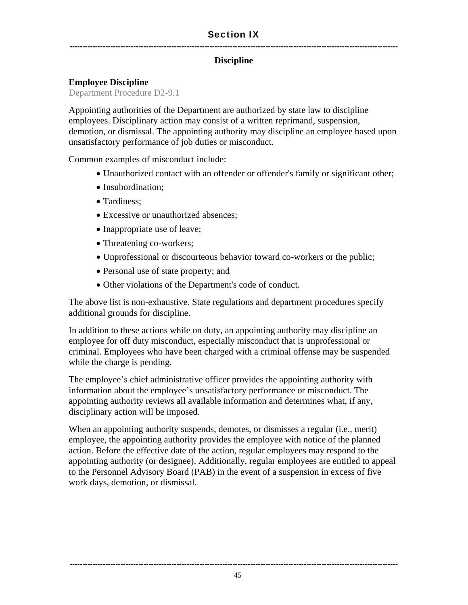#### Section IX ---------------------------------------------------------------------------------------------------------------------------------

#### **Discipline**

#### **Employee Discipline**

Department Procedure D2-9.1

Appointing authorities of the Department are authorized by state law to discipline employees. Disciplinary action may consist of a written reprimand, suspension, demotion, or dismissal. The appointing authority may discipline an employee based upon unsatisfactory performance of job duties or misconduct.

Common examples of misconduct include:

- Unauthorized contact with an offender or offender's family or significant other;
- Insubordination:
- Tardiness:
- Excessive or unauthorized absences:
- Inappropriate use of leave;
- Threatening co-workers;
- Unprofessional or discourteous behavior toward co-workers or the public;
- Personal use of state property; and
- Other violations of the Department's code of conduct.

The above list is non-exhaustive. State regulations and department procedures specify additional grounds for discipline.

In addition to these actions while on duty, an appointing authority may discipline an employee for off duty misconduct, especially misconduct that is unprofessional or criminal. Employees who have been charged with a criminal offense may be suspended while the charge is pending.

The employee's chief administrative officer provides the appointing authority with information about the employee's unsatisfactory performance or misconduct. The appointing authority reviews all available information and determines what, if any, disciplinary action will be imposed.

When an appointing authority suspends, demotes, or dismisses a regular (i.e., merit) employee, the appointing authority provides the employee with notice of the planned action. Before the effective date of the action, regular employees may respond to the appointing authority (or designee). Additionally, regular employees are entitled to appeal to the Personnel Advisory Board (PAB) in the event of a suspension in excess of five work days, demotion, or dismissal.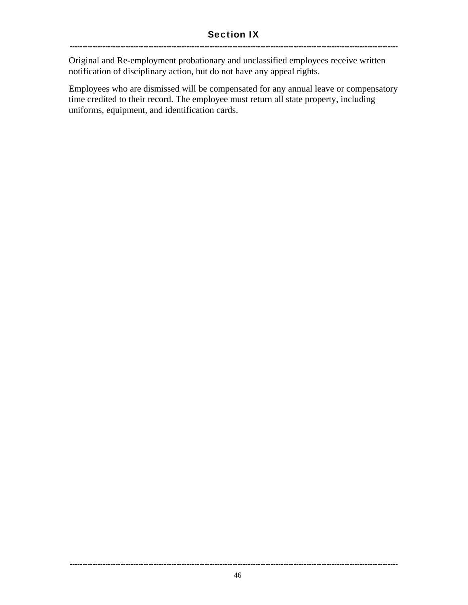Original and Re-employment probationary and unclassified employees receive written notification of disciplinary action, but do not have any appeal rights.

Employees who are dismissed will be compensated for any annual leave or compensatory time credited to their record. The employee must return all state property, including uniforms, equipment, and identification cards.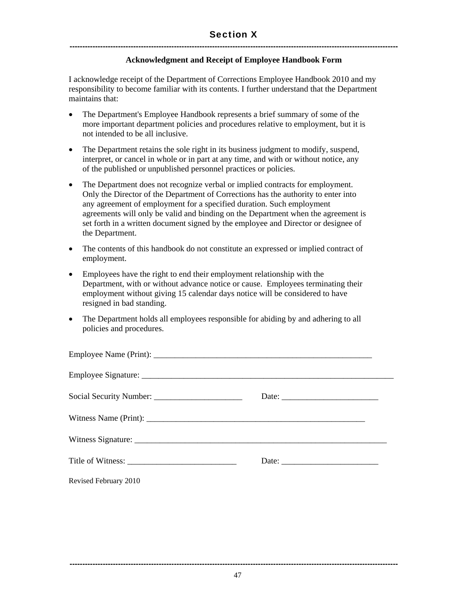#### **Acknowledgment and Receipt of Employee Handbook Form**

I acknowledge receipt of the Department of Corrections Employee Handbook 2010 and my responsibility to become familiar with its contents. I further understand that the Department maintains that:

- The Department's Employee Handbook represents a brief summary of some of the more important department policies and procedures relative to employment, but it is not intended to be all inclusive.
- The Department retains the sole right in its business judgment to modify, suspend, interpret, or cancel in whole or in part at any time, and with or without notice, any of the published or unpublished personnel practices or policies.
- The Department does not recognize verbal or implied contracts for employment. Only the Director of the Department of Corrections has the authority to enter into any agreement of employment for a specified duration. Such employment agreements will only be valid and binding on the Department when the agreement is set forth in a written document signed by the employee and Director or designee of the Department.
- The contents of this handbook do not constitute an expressed or implied contract of employment.
- Employees have the right to end their employment relationship with the Department, with or without advance notice or cause. Employees terminating their employment without giving 15 calendar days notice will be considered to have resigned in bad standing.
- The Department holds all employees responsible for abiding by and adhering to all policies and procedures.

|                       | Date: |
|-----------------------|-------|
| Revised February 2010 |       |